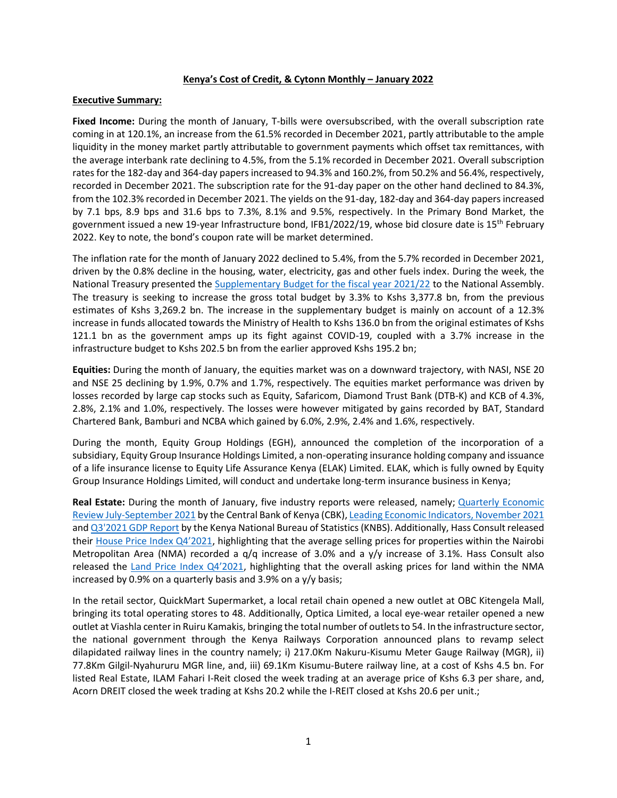#### **Kenya's Cost of Credit, & Cytonn Monthly – January 2022**

#### **Executive Summary:**

**Fixed Income:** During the month of January, T-bills were oversubscribed, with the overall subscription rate coming in at 120.1%, an increase from the 61.5% recorded in December 2021, partly attributable to the ample liquidity in the money market partly attributable to government payments which offset tax remittances, with the average interbank rate declining to 4.5%, from the 5.1% recorded in December 2021. Overall subscription rates for the 182-day and 364-day papers increased to 94.3% and 160.2%, from 50.2% and 56.4%, respectively, recorded in December 2021. The subscription rate for the 91-day paper on the other hand declined to 84.3%, from the 102.3% recorded in December 2021. The yields on the 91-day, 182-day and 364-day papers increased by 7.1 bps, 8.9 bps and 31.6 bps to 7.3%, 8.1% and 9.5%, respectively. In the Primary Bond Market, the government issued a new 19-year Infrastructure bond, IFB1/2022/19, whose bid closure date is 15<sup>th</sup> February 2022. Key to note, the bond's coupon rate will be market determined.

The inflation rate for the month of January 2022 declined to 5.4%, from the 5.7% recorded in December 2021, driven by the 0.8% decline in the housing, water, electricity, gas and other fuels index. During the week, the National Treasury presented the [Supplementary Budget for the fiscal year 2021/22](https://www.treasury.go.ke/wp-content/uploads/2022/02/PBB-Supplementary-I-2021-2022-x.pdf) to the National Assembly. The treasury is seeking to increase the gross total budget by 3.3% to Kshs 3,377.8 bn, from the previous estimates of Kshs 3,269.2 bn. The increase in the supplementary budget is mainly on account of a 12.3% increase in funds allocated towards the Ministry of Health to Kshs 136.0 bn from the original estimates of Kshs 121.1 bn as the government amps up its fight against COVID-19, coupled with a 3.7% increase in the infrastructure budget to Kshs 202.5 bn from the earlier approved Kshs 195.2 bn;

**Equities:** During the month of January, the equities market was on a downward trajectory, with NASI, NSE 20 and NSE 25 declining by 1.9%, 0.7% and 1.7%, respectively. The equities market performance was driven by losses recorded by large cap stocks such as Equity, Safaricom, Diamond Trust Bank (DTB-K) and KCB of 4.3%, 2.8%, 2.1% and 1.0%, respectively. The losses were however mitigated by gains recorded by BAT, Standard Chartered Bank, Bamburi and NCBA which gained by 6.0%, 2.9%, 2.4% and 1.6%, respectively.

During the month, Equity Group Holdings (EGH), announced the completion of the incorporation of a subsidiary, Equity Group Insurance Holdings Limited, a non-operating insurance holding company and issuance of a life insurance license to Equity Life Assurance Kenya (ELAK) Limited. ELAK, which is fully owned by Equity Group Insurance Holdings Limited, will conduct and undertake long-term insurance business in Kenya;

**Real Estate:** During the month of January, five industry reports were released, namely; [Quarterly Economic](https://www.centralbank.go.ke/uploads/quarterly_economic_review/187939112_QER%20Jul-Sept%202021.pdf)  [Review July-September 2021](https://www.centralbank.go.ke/uploads/quarterly_economic_review/187939112_QER%20Jul-Sept%202021.pdf) by the Central Bank of Kenya (CBK)[, Leading Economic Indicators,](https://www.knbs.or.ke/download/leading-economic-indicators-november-2021/) November 2021 an[d Q3'2021 GDP Report](https://www.knbs.or.ke/download/2021-quarter-3-gdp-report/) by the Kenya National Bureau of Statistics (KNBS). Additionally, Hass Consult released their [House Price Index Q4'2021](https://www.hassconsult.com/_files/ugd/1bb245_e0927e35bb9f49bb9973f3cb9c03be83.pdf), highlighting that the average selling prices for properties within the Nairobi Metropolitan Area (NMA) recorded a q/q increase of 3.0% and a y/y increase of 3.1%. Hass Consult also released the L[and Price Index Q4'2021](https://www.hassconsult.com/_files/ugd/1bb245_36122cea8633408889d69c03d57459e3.pdf), highlighting that the overall asking prices for land within the NMA increased by 0.9% on a quarterly basis and 3.9% on a y/y basis;

In the retail sector, QuickMart Supermarket, a local retail chain opened a new outlet at OBC Kitengela Mall, bringing its total operating stores to 48. Additionally, Optica Limited, a local eye-wear retailer opened a new outlet at Viashla center in Ruiru Kamakis, bringing the total number of outlets to 54. In the infrastructure sector, the national government through the Kenya Railways Corporation announced plans to revamp select dilapidated railway lines in the country namely; i) 217.0Km Nakuru-Kisumu Meter Gauge Railway (MGR), ii) 77.8Km Gilgil-Nyahururu MGR line, and, iii) 69.1Km Kisumu-Butere railway line, at a cost of Kshs 4.5 bn. For listed Real Estate, ILAM Fahari I-Reit closed the week trading at an average price of Kshs 6.3 per share, and, Acorn DREIT closed the week trading at Kshs 20.2 while the I-REIT closed at Kshs 20.6 per unit.;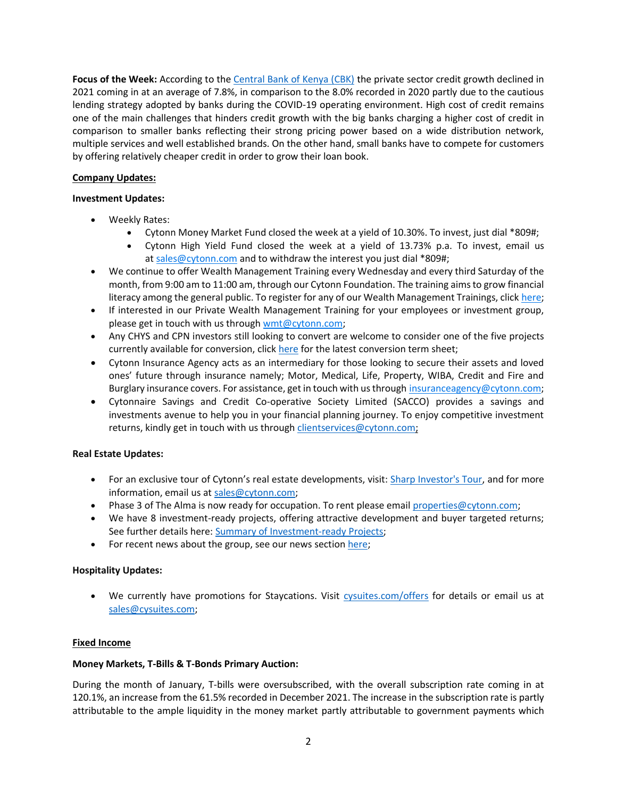**Focus of the Week:** According to the [Central Bank of Kenya \(CBK\)](https://www.centralbank.go.ke/uploads/quarterly_economic_review/187939112_QER%20Jul-Sept%202021.pdf) the private sector credit growth declined in 2021 coming in at an average of 7.8%, in comparison to the 8.0% recorded in 2020 partly due to the cautious lending strategy adopted by banks during the COVID-19 operating environment. High cost of credit remains one of the main challenges that hinders credit growth with the big banks charging a higher cost of credit in comparison to smaller banks reflecting their strong pricing power based on a wide distribution network, multiple services and well established brands. On the other hand, small banks have to compete for customers by offering relatively cheaper credit in order to grow their loan book.

# **Company Updates:**

# **Investment Updates:**

- Weekly Rates:
	- Cytonn Money Market Fund closed the week at a yield of 10.30%. To invest, just dial \*809#;
	- Cytonn High Yield Fund closed the week at a yield of 13.73% p.a. To invest, email us at [sales@cytonn.com](mailto:sales@cytonn.com) and to withdraw the interest you just dial \*809#;
- We continue to offer Wealth Management Training every Wednesday and every third Saturday of the month, from 9:00 am to 11:00 am, through our Cytonn Foundation. The training aims to grow financial literacy among the general public. To register for any of our Wealth Management Trainings, click [here;](http://cytonn.com/onlinetraining)
- If interested in our Private Wealth Management Training for your employees or investment group, please get in touch with us through [wmt@cytonn.com;](mailto:wmt@cytonn.com)
- Any CHYS and CPN investors still looking to convert are welcome to consider one of the five projects currently available for conversion, clic[k here](https://cytonn.com/downloads/cytonn-chys-and-cpn-conversion-termsheet) for the latest conversion term sheet;
- Cytonn Insurance Agency acts as an intermediary for those looking to secure their assets and loved ones' future through insurance namely; Motor, Medical, Life, Property, WIBA, Credit and Fire and Burglary insurance covers. For assistance, get in touch with us through [insuranceagency@cytonn.com;](mailto:insuranceagency@cytonn.com)
- Cytonnaire Savings and Credit Co-operative Society Limited (SACCO) provides a savings and investments avenue to help you in your financial planning journey. To enjoy competitive investment returns, kindly get in touch with us through [clientservices@cytonn.com;](mailto:clientservices@cytonn.com)

# **Real Estate Updates:**

- For an exclusive tour of Cytonn's real estate developments, visit: [Sharp Investor's Tour,](https://crm.cytonn.com/events/sharp-investors-tour) and for more information, email us at [sales@cytonn.com;](mailto:sales@cytonn.com)
- Phase 3 of The Alma is now ready for occupation. To rent please email [properties@cytonn.com;](mailto:properties@cytonn.com)
- We have 8 investment-ready projects, offering attractive development and buyer targeted returns; See further details here: [Summary of Investment-ready Projects;](https://cytonn.com/downloads/summary-of-investment-ready-projects-v19-06-2021)
- For recent news about the group, see our news section [here;](https://crm.cytonn.com/events/private_wealth_management_training_q3_2018)

# **Hospitality Updates:**

• We currently have promotions for Staycations. Visit [cysuites.com/offers](https://cysuites.com/offers) for details or email us at [sales@cysuites.com;](file:///C:/Users/skariuki/Downloads/sales@cysuites.com)

# **Fixed Income**

# **Money Markets, T-Bills & T-Bonds Primary Auction:**

During the month of January, T-bills were oversubscribed, with the overall subscription rate coming in at 120.1%, an increase from the 61.5% recorded in December 2021. The increase in the subscription rate is partly attributable to the ample liquidity in the money market partly attributable to government payments which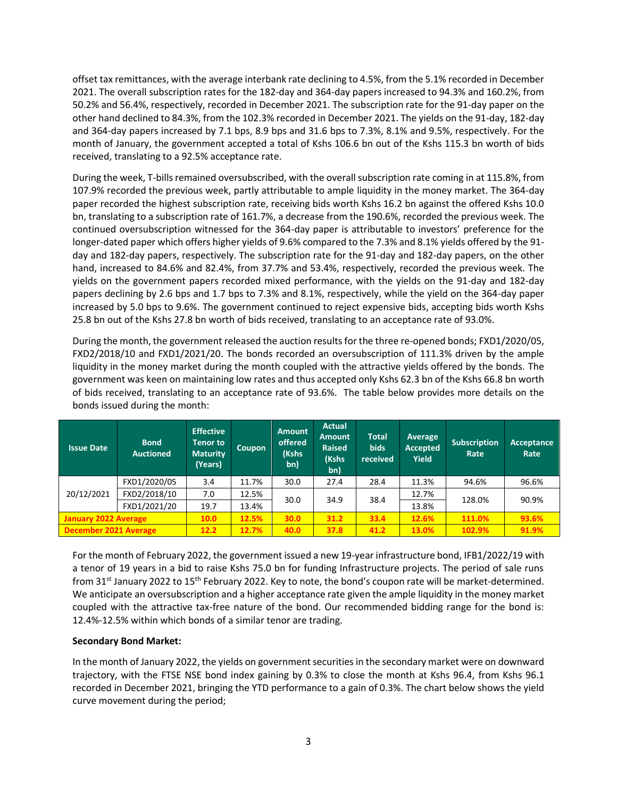offset tax remittances, with the average interbank rate declining to 4.5%, from the 5.1% recorded in December 2021. The overall subscription rates for the 182-day and 364-day papers increased to 94.3% and 160.2%, from 50.2% and 56.4%, respectively, recorded in December 2021. The subscription rate for the 91-day paper on the other hand declined to 84.3%, from the 102.3% recorded in December 2021. The yields on the 91-day, 182-day and 364-day papers increased by 7.1 bps, 8.9 bps and 31.6 bps to 7.3%, 8.1% and 9.5%, respectively. For the month of January, the government accepted a total of Kshs 106.6 bn out of the Kshs 115.3 bn worth of bids received, translating to a 92.5% acceptance rate.

During the week, T-bills remained oversubscribed, with the overall subscription rate coming in at 115.8%, from 107.9% recorded the previous week, partly attributable to ample liquidity in the money market. The 364-day paper recorded the highest subscription rate, receiving bids worth Kshs 16.2 bn against the offered Kshs 10.0 bn, translating to a subscription rate of 161.7%, a decrease from the 190.6%, recorded the previous week. The continued oversubscription witnessed for the 364-day paper is attributable to investors' preference for the longer-dated paper which offers higher yields of 9.6% compared to the 7.3% and 8.1% yields offered by the 91 day and 182-day papers, respectively. The subscription rate for the 91-day and 182-day papers, on the other hand, increased to 84.6% and 82.4%, from 37.7% and 53.4%, respectively, recorded the previous week. The yields on the government papers recorded mixed performance, with the yields on the 91-day and 182-day papers declining by 2.6 bps and 1.7 bps to 7.3% and 8.1%, respectively, while the yield on the 364-day paper increased by 5.0 bps to 9.6%. The government continued to reject expensive bids, accepting bids worth Kshs 25.8 bn out of the Kshs 27.8 bn worth of bids received, translating to an acceptance rate of 93.0%.

During the month, the government released the auction results for the three re-opened bonds; FXD1/2020/05, FXD2/2018/10 and FXD1/2021/20. The bonds recorded an oversubscription of 111.3% driven by the ample liquidity in the money market during the month coupled with the attractive yields offered by the bonds. The government was keen on maintaining low rates and thus accepted only Kshs 62.3 bn of the Kshs 66.8 bn worth of bids received, translating to an acceptance rate of 93.6%. The table below provides more details on the bonds issued during the month:

| <b>Issue Date</b>           | <b>Bond</b><br><b>Auctioned</b> | <b>Effective</b><br><b>Tenor to</b><br><b>Maturity</b><br>(Years) | <b>Coupon</b> | <b>Amount</b><br>offered<br>(Kshs<br>bn) | <b>Actual</b><br><b>Amount</b><br><b>Raised</b><br>(Kshs<br>'bn). | <b>Total</b><br><b>bids</b><br>received | <b>Average</b><br><b>Accepted</b><br>Yield | <b>Subscription</b><br>Rate | Acceptance<br>Rate |
|-----------------------------|---------------------------------|-------------------------------------------------------------------|---------------|------------------------------------------|-------------------------------------------------------------------|-----------------------------------------|--------------------------------------------|-----------------------------|--------------------|
|                             | FXD1/2020/05                    | 3.4                                                               | 11.7%         | 30.0                                     | 27.4                                                              | 28.4                                    | 11.3%                                      | 94.6%                       | 96.6%              |
| 20/12/2021                  | FXD2/2018/10                    | 7.0                                                               | 12.5%         |                                          | 34.9                                                              | 38.4                                    | 12.7%                                      | 128.0%                      | 90.9%              |
|                             | FXD1/2021/20                    | 19.7                                                              | 13.4%         | 30.0                                     |                                                                   |                                         | 13.8%                                      |                             |                    |
| <b>January 2022 Average</b> |                                 | 10.0                                                              | 12.5%         | 30.0                                     | 31.2                                                              | 33.4                                    | 12.6%                                      | 111.0%                      | 93.6%              |
| December 2021 Average       |                                 | 12.2                                                              | 12.7%         | 40.0                                     | 37.8                                                              | 41.2                                    | 13.0%                                      | 102.9%                      | 91.9%              |

For the month of February 2022, the government issued a new 19-year infrastructure bond, IFB1/2022/19 with a tenor of 19 years in a bid to raise Kshs 75.0 bn for funding Infrastructure projects. The period of sale runs from 31<sup>st</sup> January 2022 to 15<sup>th</sup> February 2022. Key to note, the bond's coupon rate will be market-determined. We anticipate an oversubscription and a higher acceptance rate given the ample liquidity in the money market coupled with the attractive tax-free nature of the bond. Our recommended bidding range for the bond is: 12.4%-12.5% within which bonds of a similar tenor are trading.

# **Secondary Bond Market:**

In the month of January 2022, the yields on government securities in the secondary market were on downward trajectory, with the FTSE NSE bond index gaining by 0.3% to close the month at Kshs 96.4, from Kshs 96.1 recorded in December 2021, bringing the YTD performance to a gain of 0.3%. The chart below shows the yield curve movement during the period;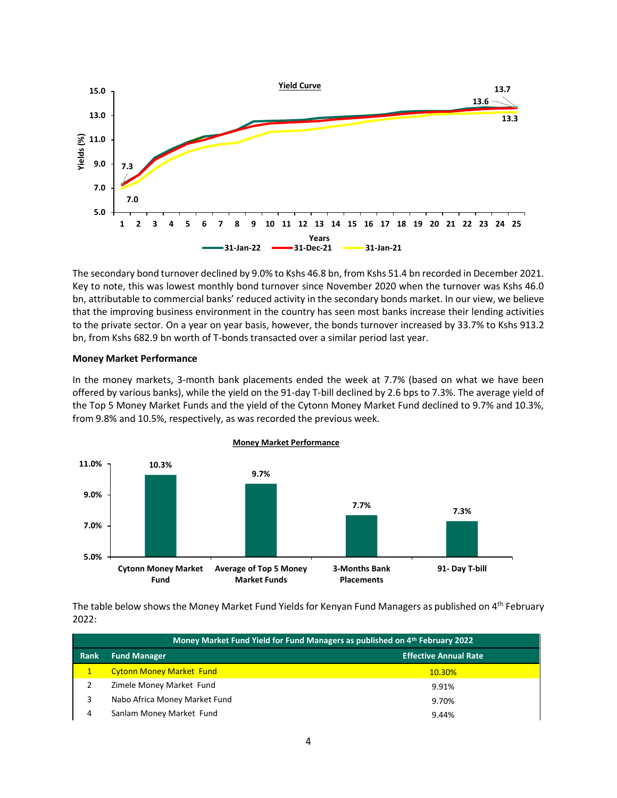

The secondary bond turnover declined by 9.0% to Kshs 46.8 bn, from Kshs 51.4 bn recorded in December 2021. Key to note, this was lowest monthly bond turnover since November 2020 when the turnover was Kshs 46.0 bn, attributable to commercial banks' reduced activity in the secondary bonds market. In our view, we believe that the improving business environment in the country has seen most banks increase their lending activities to the private sector. On a year on year basis, however, the bonds turnover increased by 33.7% to Kshs 913.2 bn, from Kshs 682.9 bn worth of T-bonds transacted over a similar period last year.

#### **Money Market Performance**

In the money markets, 3-month bank placements ended the week at 7.7% (based on what we have been offered by various banks), while the yield on the 91-day T-bill declined by 2.6 bps to 7.3%. The average yield of the Top 5 Money Market Funds and the yield of the Cytonn Money Market Fund declined to 9.7% and 10.3%, from 9.8% and 10.5%, respectively, as was recorded the previous week.



**Money Market Performance** 

The table below shows the Money Market Fund Yields for Kenyan Fund Managers as published on 4<sup>th</sup> February 2022:

|      | Money Market Fund Yield for Fund Managers as published on 4th February 2022 |                              |  |  |  |
|------|-----------------------------------------------------------------------------|------------------------------|--|--|--|
| Rank | <b>Fund Manager</b>                                                         | <b>Effective Annual Rate</b> |  |  |  |
|      | <b>Cytonn Money Market Fund</b>                                             | <b>10.30%</b>                |  |  |  |
| 2    | Zimele Money Market Fund                                                    | 9.91%                        |  |  |  |
| 3    | Nabo Africa Money Market Fund                                               | 9.70%                        |  |  |  |
| 4    | Sanlam Money Market Fund                                                    | 9.44%                        |  |  |  |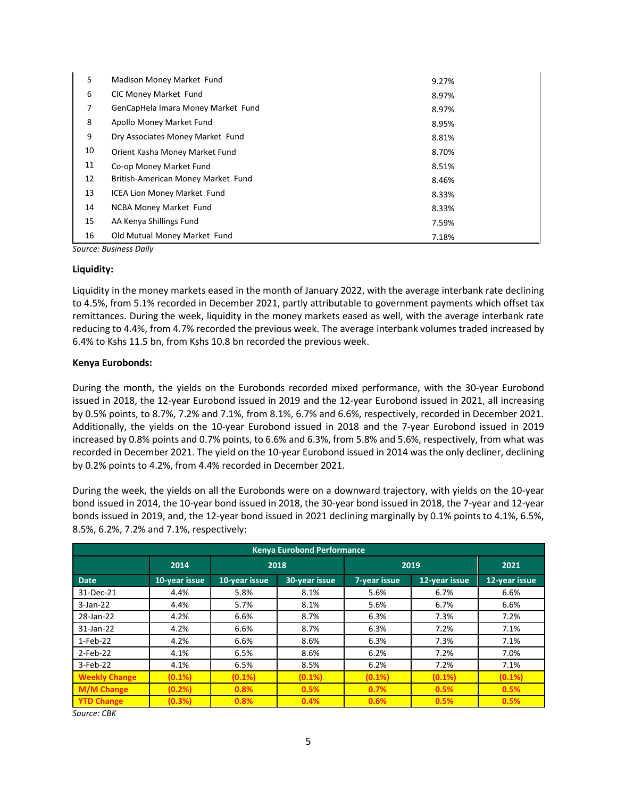| 5  | Madison Money Market Fund          | 9.27% |
|----|------------------------------------|-------|
| 6  | CIC Money Market Fund              | 8.97% |
| 7  | GenCapHela Imara Money Market Fund | 8.97% |
| 8  | Apollo Money Market Fund           | 8.95% |
| 9  | Dry Associates Money Market Fund   | 8.81% |
| 10 | Orient Kasha Money Market Fund     | 8.70% |
| 11 | Co-op Money Market Fund            | 8.51% |
| 12 | British-American Money Market Fund | 8.46% |
| 13 | <b>ICEA Lion Money Market Fund</b> | 8.33% |
| 14 | <b>NCBA Money Market Fund</b>      | 8.33% |
| 15 | AA Kenya Shillings Fund            | 7.59% |
| 16 | Old Mutual Money Market Fund       | 7.18% |

*Source: Business Daily*

#### **Liquidity:**

Liquidity in the money markets eased in the month of January 2022, with the average interbank rate declining to 4.5%, from 5.1% recorded in December 2021, partly attributable to government payments which offset tax remittances. During the week, liquidity in the money markets eased as well, with the average interbank rate reducing to 4.4%, from 4.7% recorded the previous week. The average interbank volumes traded increased by 6.4% to Kshs 11.5 bn, from Kshs 10.8 bn recorded the previous week.

#### **Kenya Eurobonds:**

During the month, the yields on the Eurobonds recorded mixed performance, with the 30-year Eurobond issued in 2018, the 12-year Eurobond issued in 2019 and the 12-year Eurobond issued in 2021, all increasing by 0.5% points, to 8.7%, 7.2% and 7.1%, from 8.1%, 6.7% and 6.6%, respectively, recorded in December 2021. Additionally, the yields on the 10-year Eurobond issued in 2018 and the 7-year Eurobond issued in 2019 increased by 0.8% points and 0.7% points, to 6.6% and 6.3%, from 5.8% and 5.6%, respectively, from what was recorded in December 2021. The yield on the 10-year Eurobond issued in 2014 was the only decliner, declining by 0.2% points to 4.2%, from 4.4% recorded in December 2021.

During the week, the yields on all the Eurobonds were on a downward trajectory, with yields on the 10-year bond issued in 2014, the 10-year bond issued in 2018, the 30-year bond issued in 2018, the 7-year and 12-year bonds issued in 2019, and, the 12-year bond issued in 2021 declining marginally by 0.1% points to 4.1%, 6.5%, 8.5%, 6.2%, 7.2% and 7.1%, respectively:

| <b>Kenya Eurobond Performance</b> |               |               |               |              |               |               |
|-----------------------------------|---------------|---------------|---------------|--------------|---------------|---------------|
|                                   | 2014          |               | 2018          | 2019         | 2021          |               |
| <b>Date</b>                       | 10-year issue | 10-year issue | 30-year issue | 7-year issue | 12-year issue | 12-year issue |
| 31-Dec-21                         | 4.4%          | 5.8%          | 8.1%          | 5.6%         | 6.7%          | 6.6%          |
| $3$ -Jan-22                       | 4.4%          | 5.7%          | 8.1%          | 5.6%         | 6.7%          | 6.6%          |
| 28-Jan-22                         | 4.2%          | 6.6%          | 8.7%          | 6.3%         | 7.3%          | 7.2%          |
| 31-Jan-22                         | 4.2%          | 6.6%          | 8.7%          | 6.3%         | 7.2%          | 7.1%          |
| 1-Feb-22                          | 4.2%          | 6.6%          | 8.6%          | 6.3%         | 7.3%          | 7.1%          |
| 2-Feb-22                          | 4.1%          | 6.5%          | 8.6%          | 6.2%         | 7.2%          | 7.0%          |
| 3-Feb-22                          | 4.1%          | 6.5%          | 8.5%          | 6.2%         | 7.2%          | 7.1%          |
| <b>Weekly Change</b>              | $(0.1\%)$     | $(0.1\%)$     | (0.1%)        | $(0.1\%)$    | (0.1%)        | (0.1%)        |
| <b>M/M Change</b>                 | (0.2% )       | 0.8%          | 0.5%          | 0.7%         | 0.5%          | 0.5%          |
| <b>YTD Change</b>                 | (0.3%)        | 0.8%          | 0.4%          | 0.6%         | 0.5%          | 0.5%          |

*Source: CBK*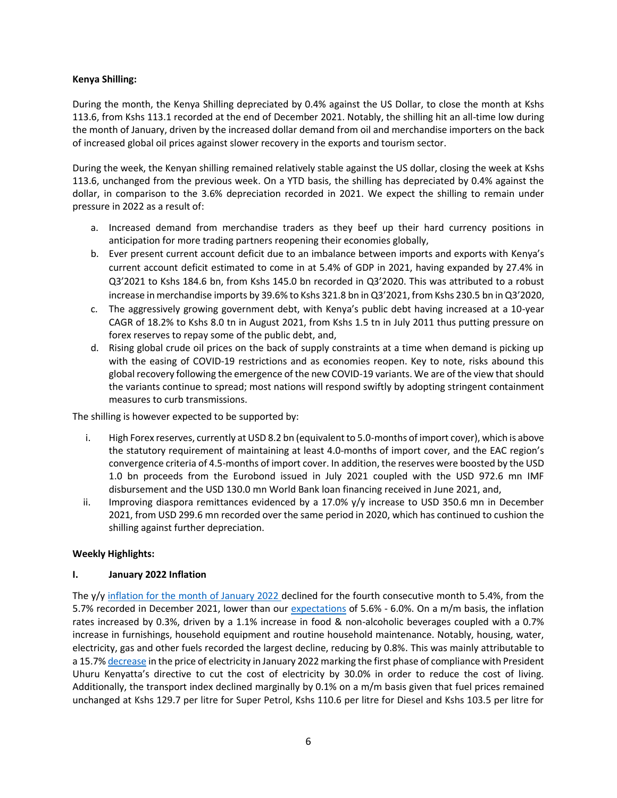### **Kenya Shilling:**

During the month, the Kenya Shilling depreciated by 0.4% against the US Dollar, to close the month at Kshs 113.6, from Kshs 113.1 recorded at the end of December 2021. Notably, the shilling hit an all-time low during the month of January, driven by the increased dollar demand from oil and merchandise importers on the back of increased global oil prices against slower recovery in the exports and tourism sector.

During the week, the Kenyan shilling remained relatively stable against the US dollar, closing the week at Kshs 113.6, unchanged from the previous week. On a YTD basis, the shilling has depreciated by 0.4% against the dollar, in comparison to the 3.6% depreciation recorded in 2021. We expect the shilling to remain under pressure in 2022 as a result of:

- a. Increased demand from merchandise traders as they beef up their hard currency positions in anticipation for more trading partners reopening their economies globally,
- b. Ever present current account deficit due to an imbalance between imports and exports with Kenya's current account deficit estimated to come in at 5.4% of GDP in 2021, having expanded by 27.4% in Q3'2021 to Kshs 184.6 bn, from Kshs 145.0 bn recorded in Q3'2020. This was attributed to a robust increase in merchandise imports by 39.6% to Kshs 321.8 bn in Q3'2021, from Kshs 230.5 bn in Q3'2020,
- c. The aggressively growing government debt, with Kenya's public debt having increased at a 10-year CAGR of 18.2% to Kshs 8.0 tn in August 2021, from Kshs 1.5 tn in July 2011 thus putting pressure on forex reserves to repay some of the public debt, and,
- d. Rising global crude oil prices on the back of supply constraints at a time when demand is picking up with the easing of COVID-19 restrictions and as economies reopen. Key to note, risks abound this global recovery following the emergence of the new COVID-19 variants. We are of the view that should the variants continue to spread; most nations will respond swiftly by adopting stringent containment measures to curb transmissions.

The shilling is however expected to be supported by:

- i. High Forex reserves, currently at USD 8.2 bn (equivalent to 5.0-months of import cover), which is above the statutory requirement of maintaining at least 4.0-months of import cover, and the EAC region's convergence criteria of 4.5-months of import cover. In addition, the reserves were boosted by the USD 1.0 bn proceeds from the Eurobond issued in July 2021 coupled with the USD 972.6 mn IMF disbursement and the USD 130.0 mn World Bank loan financing received in June 2021, and,
- ii. Improving diaspora remittances evidenced by a 17.0% y/y increase to USD 350.6 mn in December 2021, from USD 299.6 mn recorded over the same period in 2020, which has continued to cushion the shilling against further depreciation.

# **Weekly Highlights:**

### **I. January 2022 Inflation**

The y/y [inflation for the month of January 2022](https://www.knbs.or.ke/download/cpi-january-2022/) declined for the fourth consecutive month to 5.4%, from the 5.7% recorded in December 2021, lower than our [expectations](https://cytonnreport.com/research/unit-trust-funds-performance-q32021-cytonn-weekly-04-2022#fixed-income) of 5.6% - 6.0%. On a m/m basis, the inflation rates increased by 0.3%, driven by a 1.1% increase in food & non-alcoholic beverages coupled with a 0.7% increase in furnishings, household equipment and routine household maintenance. Notably, housing, water, electricity, gas and other fuels recorded the largest decline, reducing by 0.8%. This was mainly attributable to a 15.7[% decrease](https://www.kplc.co.ke/content/item/3492/kplc-press-release---implementation-of-power-bill-reduction) in the price of electricity in January 2022 marking the first phase of compliance with President Uhuru Kenyatta's directive to cut the cost of electricity by 30.0% in order to reduce the cost of living. Additionally, the transport index declined marginally by 0.1% on a m/m basis given that fuel prices remained unchanged at Kshs 129.7 per litre for Super Petrol, Kshs 110.6 per litre for Diesel and Kshs 103.5 per litre for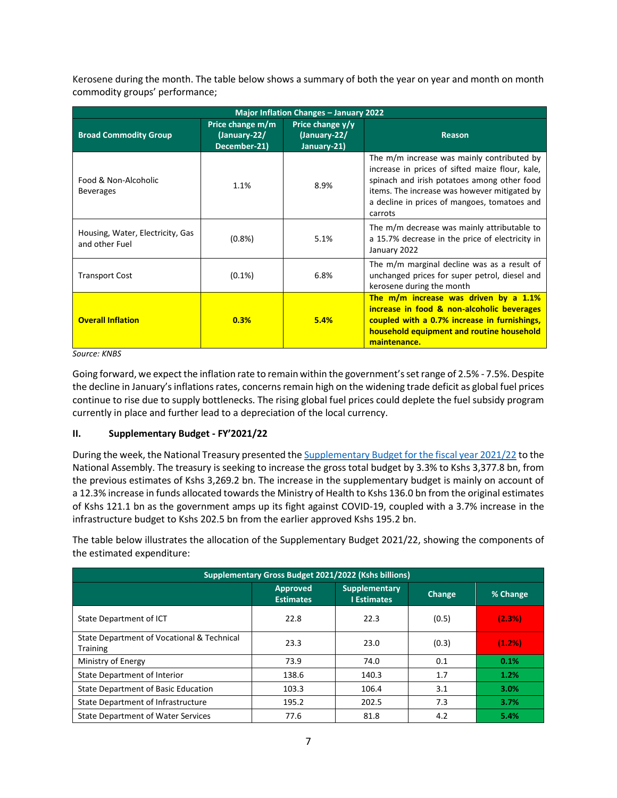Kerosene during the month. The table below shows a summary of both the year on year and month on month commodity groups' performance;

| Major Inflation Changes - January 2022             |                                                  |                                                 |                                                                                                                                                                                                                                                         |  |  |  |
|----------------------------------------------------|--------------------------------------------------|-------------------------------------------------|---------------------------------------------------------------------------------------------------------------------------------------------------------------------------------------------------------------------------------------------------------|--|--|--|
| <b>Broad Commodity Group</b>                       | Price change m/m<br>(January-22/<br>December-21) | Price change y/y<br>(January-22/<br>January-21) | <b>Reason</b>                                                                                                                                                                                                                                           |  |  |  |
| Food & Non-Alcoholic<br><b>Beverages</b>           | 1.1%                                             | 8.9%                                            | The m/m increase was mainly contributed by<br>increase in prices of sifted maize flour, kale,<br>spinach and irish potatoes among other food<br>items. The increase was however mitigated by<br>a decline in prices of mangoes, tomatoes and<br>carrots |  |  |  |
| Housing, Water, Electricity, Gas<br>and other Fuel | $(0.8\%)$                                        | 5.1%                                            | The m/m decrease was mainly attributable to<br>a 15.7% decrease in the price of electricity in<br>January 2022                                                                                                                                          |  |  |  |
| <b>Transport Cost</b>                              | $(0.1\%)$                                        | 6.8%                                            | The m/m marginal decline was as a result of<br>unchanged prices for super petrol, diesel and<br>kerosene during the month                                                                                                                               |  |  |  |
| <b>Overall Inflation</b>                           | 0.3%                                             | 5.4%                                            | The m/m increase was driven by a 1.1%<br>increase in food & non-alcoholic beverages<br>coupled with a 0.7% increase in furnishings,<br>household equipment and routine household<br>maintenance.                                                        |  |  |  |

*Source: KNBS*

Going forward, we expect the inflation rate to remain within the government's set range of 2.5% - 7.5%. Despite the decline in January's inflations rates, concerns remain high on the widening trade deficit as global fuel prices continue to rise due to supply bottlenecks. The rising global fuel prices could deplete the fuel subsidy program currently in place and further lead to a depreciation of the local currency.

# **II. Supplementary Budget - FY'2021/22**

During the week, the National Treasury presented the [Supplementary Budget for the fiscal year 2021/22](https://www.treasury.go.ke/wp-content/uploads/2022/02/PBB-Supplementary-I-2021-2022-x.pdf) to the National Assembly. The treasury is seeking to increase the gross total budget by 3.3% to Kshs 3,377.8 bn, from the previous estimates of Kshs 3,269.2 bn. The increase in the supplementary budget is mainly on account of a 12.3% increase in funds allocated towards the Ministry of Health to Kshs 136.0 bn from the original estimates of Kshs 121.1 bn as the government amps up its fight against COVID-19, coupled with a 3.7% increase in the infrastructure budget to Kshs 202.5 bn from the earlier approved Kshs 195.2 bn.

The table below illustrates the allocation of the Supplementary Budget 2021/22, showing the components of the estimated expenditure:

| Supplementary Gross Budget 2021/2022 (Kshs billions)   |                                     |                                            |        |          |  |
|--------------------------------------------------------|-------------------------------------|--------------------------------------------|--------|----------|--|
|                                                        | <b>Approved</b><br><b>Estimates</b> | <b>Supplementary</b><br><b>I</b> Estimates | Change | % Change |  |
| State Department of ICT                                | 22.8                                | 22.3                                       | (0.5)  | (2.3%)   |  |
| State Department of Vocational & Technical<br>Training | 23.3                                | 23.0                                       | (0.3)  | (1.2%)   |  |
| Ministry of Energy                                     | 73.9                                | 74.0                                       | 0.1    | 0.1%     |  |
| State Department of Interior                           | 138.6                               | 140.3                                      | 1.7    | 1.2%     |  |
| <b>State Department of Basic Education</b>             | 103.3                               | 106.4                                      | 3.1    | 3.0%     |  |
| State Department of Infrastructure                     | 195.2                               | 202.5                                      | 7.3    | 3.7%     |  |
| <b>State Department of Water Services</b>              | 77.6                                | 81.8                                       | 4.2    | 5.4%     |  |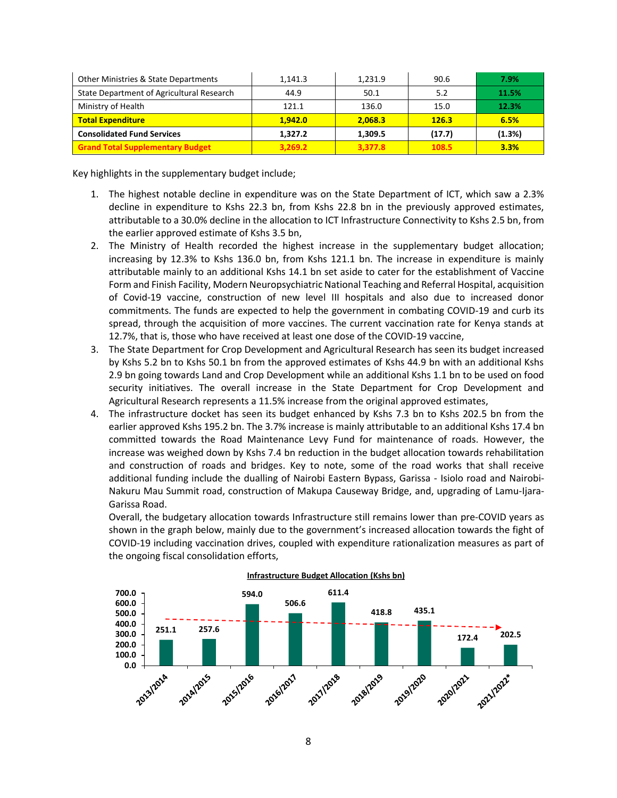| Other Ministries & State Departments      | 1,141.3 | 1,231.9 | 90.6   | 7.9%   |
|-------------------------------------------|---------|---------|--------|--------|
| State Department of Agricultural Research | 44.9    | 50.1    | 5.2    | 11.5%  |
| Ministry of Health                        | 121.1   | 136.0   | 15.0   | 12.3%  |
| <b>Total Expenditure</b>                  | 1.942.0 | 2.068.3 | 126.3  | 6.5%   |
| <b>Consolidated Fund Services</b>         | 1.327.2 | 1.309.5 | (17.7) | (1.3%) |
| <b>Grand Total Supplementary Budget</b>   | 3,269.2 | 3,377.8 | 108.5  | 3.3%   |

Key highlights in the supplementary budget include;

- 1. The highest notable decline in expenditure was on the State Department of ICT, which saw a 2.3% decline in expenditure to Kshs 22.3 bn, from Kshs 22.8 bn in the previously approved estimates, attributable to a 30.0% decline in the allocation to ICT Infrastructure Connectivity to Kshs 2.5 bn, from the earlier approved estimate of Kshs 3.5 bn,
- 2. The Ministry of Health recorded the highest increase in the supplementary budget allocation; increasing by 12.3% to Kshs 136.0 bn, from Kshs 121.1 bn. The increase in expenditure is mainly attributable mainly to an additional Kshs 14.1 bn set aside to cater for the establishment of Vaccine Form and Finish Facility, Modern Neuropsychiatric National Teaching and Referral Hospital, acquisition of Covid-19 vaccine, construction of new level III hospitals and also due to increased donor commitments. The funds are expected to help the government in combating COVID-19 and curb its spread, through the acquisition of more vaccines. The current vaccination rate for Kenya stands at 12.7%, that is, those who have received at least one dose of the COVID-19 vaccine,
- 3. The State Department for Crop Development and Agricultural Research has seen its budget increased by Kshs 5.2 bn to Kshs 50.1 bn from the approved estimates of Kshs 44.9 bn with an additional Kshs 2.9 bn going towards Land and Crop Development while an additional Kshs 1.1 bn to be used on food security initiatives. The overall increase in the State Department for Crop Development and Agricultural Research represents a 11.5% increase from the original approved estimates,
- 4. The infrastructure docket has seen its budget enhanced by Kshs 7.3 bn to Kshs 202.5 bn from the earlier approved Kshs 195.2 bn. The 3.7% increase is mainly attributable to an additional Kshs 17.4 bn committed towards the Road Maintenance Levy Fund for maintenance of roads. However, the increase was weighed down by Kshs 7.4 bn reduction in the budget allocation towards rehabilitation and construction of roads and bridges. Key to note, some of the road works that shall receive additional funding include the dualling of Nairobi Eastern Bypass, Garissa - Isiolo road and Nairobi-Nakuru Mau Summit road, construction of Makupa Causeway Bridge, and, upgrading of Lamu-Ijara-Garissa Road.

Overall, the budgetary allocation towards Infrastructure still remains lower than pre-COVID years as shown in the graph below, mainly due to the government's increased allocation towards the fight of COVID-19 including vaccination drives, coupled with expenditure rationalization measures as part of the ongoing fiscal consolidation efforts,

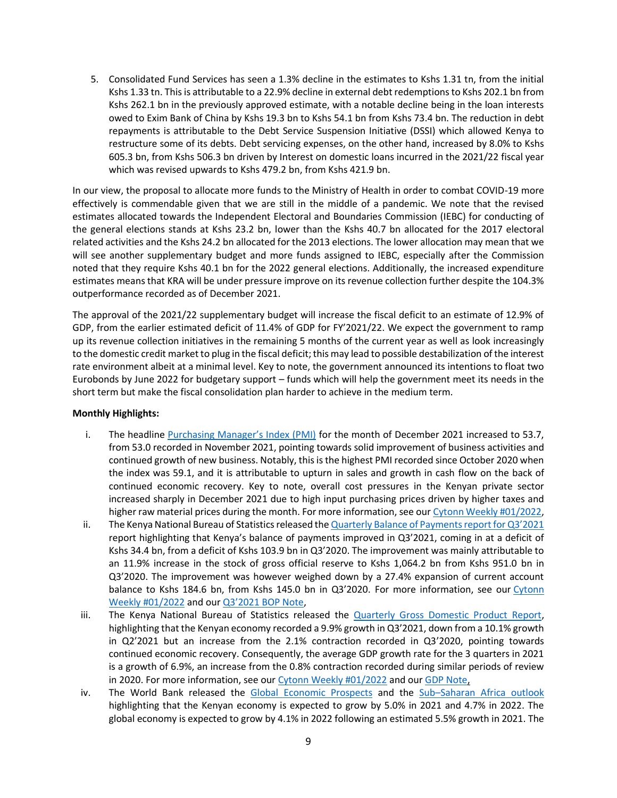5. Consolidated Fund Services has seen a 1.3% decline in the estimates to Kshs 1.31 tn, from the initial Kshs 1.33 tn. This is attributable to a 22.9% decline in external debt redemptions to Kshs 202.1 bn from Kshs 262.1 bn in the previously approved estimate, with a notable decline being in the loan interests owed to Exim Bank of China by Kshs 19.3 bn to Kshs 54.1 bn from Kshs 73.4 bn. The reduction in debt repayments is attributable to the Debt Service Suspension Initiative (DSSI) which allowed Kenya to restructure some of its debts. Debt servicing expenses, on the other hand, increased by 8.0% to Kshs 605.3 bn, from Kshs 506.3 bn driven by Interest on domestic loans incurred in the 2021/22 fiscal year which was revised upwards to Kshs 479.2 bn, from Kshs 421.9 bn.

In our view, the proposal to allocate more funds to the Ministry of Health in order to combat COVID-19 more effectively is commendable given that we are still in the middle of a pandemic. We note that the revised estimates allocated towards the Independent Electoral and Boundaries Commission (IEBC) for conducting of the general elections stands at Kshs 23.2 bn, lower than the Kshs 40.7 bn allocated for the 2017 electoral related activities and the Kshs 24.2 bn allocated for the 2013 elections. The lower allocation may mean that we will see another supplementary budget and more funds assigned to IEBC, especially after the Commission noted that they require Kshs 40.1 bn for the 2022 general elections. Additionally, the increased expenditure estimates means that KRA will be under pressure improve on its revenue collection further despite the 104.3% outperformance recorded as of December 2021.

The approval of the 2021/22 supplementary budget will increase the fiscal deficit to an estimate of 12.9% of GDP, from the earlier estimated deficit of 11.4% of GDP for FY'2021/22. We expect the government to ramp up its revenue collection initiatives in the remaining 5 months of the current year as well as look increasingly to the domestic credit market to plug in the fiscal deficit; this may lead to possible destabilization of the interest rate environment albeit at a minimal level. Key to note, the government announced its intentions to float two Eurobonds by June 2022 for budgetary support – funds which will help the government meet its needs in the short term but make the fiscal consolidation plan harder to achieve in the medium term.

### **Monthly Highlights:**

- i. The headline [Purchasing Manager's Index \(PMI\)](https://www.stanbicbank.co.ke/static_file/Kenya/filedownload/KE_PMI_ENG_2201_LITE.pdf) for the month of December 2021 increased to 53.7, from 53.0 recorded in November 2021, pointing towards solid improvement of business activities and continued growth of new business. Notably, this is the highest PMI recorded since October 2020 when the index was 59.1, and it is attributable to upturn in sales and growth in cash flow on the back of continued economic recovery. Key to note, overall cost pressures in the Kenyan private sector increased sharply in December 2021 due to high input purchasing prices driven by higher taxes and higher raw material prices during the month. For more information, see our [Cytonn Weekly #01/2022,](https://cytonnreport.com/research/affordable-housing-in-the-nairobi-metropolitan-area-nma-cytonn-weekly-01-2022#fixed-income)
- ii. The Kenya National Bureau of Statistics released the [Quarterly Balance of Payments report for Q3'2021](https://www.knbs.or.ke/download/2021-quarter-3-bop-and-international-trade-report/) report highlighting that Kenya's balance of payments improved in Q3'2021, coming in at a deficit of Kshs 34.4 bn, from a deficit of Kshs 103.9 bn in Q3'2020. The improvement was mainly attributable to an 11.9% increase in the stock of gross official reserve to Kshs 1,064.2 bn from Kshs 951.0 bn in Q3'2020. The improvement was however weighed down by a 27.4% expansion of current account balance to Kshs 184.6 bn, from Kshs 145.0 bn in Q3'2020. For more information, see our Cytonn [Weekly #01/2022](https://cytonnreport.com/research/affordable-housing-in-the-nairobi-metropolitan-area-nma-cytonn-weekly-01-2022#fixed-income) and our [Q3'2021 BOP Note](https://cytonn.com/downloads/kenya-q3-2021-balance-of-payments-note-1),
- iii. The Kenya National Bureau of Statistics released the [Quarterly Gross Domestic Product Report,](https://www.knbs.or.ke/download/2021-quarter-3-gdp-report/) highlighting that the Kenyan economy recorded a 9.9% growth in Q3'2021, down from a 10.1% growth in Q2'2021 but an increase from the 2.1% contraction recorded in Q3'2020, pointing towards continued economic recovery. Consequently, the average GDP growth rate for the 3 quarters in 2021 is a growth of 6.9%, an increase from the 0.8% contraction recorded during similar periods of review in 2020. For more information, see our [Cytonn Weekly #01/2022](https://cytonnreport.com/research/affordable-housing-in-the-nairobi-metropolitan-area-nma-cytonn-weekly-01-2022#fixed-income) and our [GDP Note,](https://cytonn.com/downloads/kenya-q3-2021-gdp-growth)
- iv. The World Bank released the [Global Economic Prospects](https://openknowledge.worldbank.org/bitstream/handle/10986/36519/9781464817601-ch01.pdf) and the Sub–[Saharan Africa outlook](https://thedocs.worldbank.org/en/doc/cb15f6d7442eadedf75bb95c4fdec1b3-0350012022/related/Global-Economic-Prospects-January-2022-Analysis-SSA.pdf) highlighting that the Kenyan economy is expected to grow by 5.0% in 2021 and 4.7% in 2022. The global economy is expected to grow by 4.1% in 2022 following an estimated 5.5% growth in 2021. The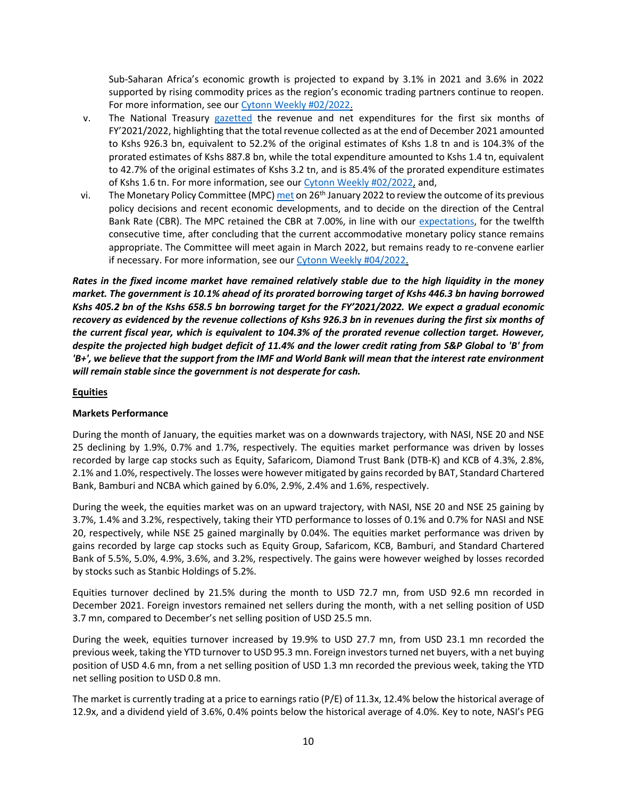Sub-Saharan Africa's economic growth is projected to expand by 3.1% in 2021 and 3.6% in 2022 supported by rising commodity prices as the region's economic trading partners continue to reopen. For more information, see our [Cytonn Weekly #02/2022.](https://cytonnreport.com/research/off-plan-real-estate-investing-cytonn-weekly-02-2022#fixed-income)

- v. The National Treasury [gazetted](http://kenyalaw.org/kenya_gazette/gazette/volume/MjUzNg--/Vol.CXXIV-No.6/) the revenue and net expenditures for the first six months of FY'2021/2022, highlighting that the total revenue collected as at the end of December 2021 amounted to Kshs 926.3 bn, equivalent to 52.2% of the original estimates of Kshs 1.8 tn and is 104.3% of the prorated estimates of Kshs 887.8 bn, while the total expenditure amounted to Kshs 1.4 tn, equivalent to 42.7% of the original estimates of Kshs 3.2 tn, and is 85.4% of the prorated expenditure estimates of Kshs 1.6 tn. For more information, see our Cytonn [Weekly #02/2022,](https://cytonnreport.com/research/off-plan-real-estate-investing-cytonn-weekly-02-2022#fixed-income) and,
- vi. The Monetary Policy Committee (MPC[\) met](https://www.centralbank.go.ke/uploads/mpc_press_release/874176368_MPC%20Press%20Release%20-%20Meeting%20of%20January%2026%202022.pdf) on 26<sup>th</sup> January 2022 to review the outcome of its previous policy decisions and recent economic developments, and to decide on the direction of the Central Bank Rate (CBR). The MPC retained the CBR at 7.00%, in line with our [expectations,](https://cytonn.com/uploads/downloads/mpc-note-january-2022.pdf) for the twelfth consecutive time, after concluding that the current accommodative monetary policy stance remains appropriate. The Committee will meet again in March 2022, but remains ready to re-convene earlier if necessary. For more information, see our [Cytonn Weekly #04/2022.](https://cytonnreport.com/research/unit-trust-funds-performance-q32021-cytonn-weekly-04-2022#fixed-income)

*Rates in the fixed income market have remained relatively stable due to the high liquidity in the money market. The government is 10.1% ahead of its prorated borrowing target of Kshs 446.3 bn having borrowed Kshs 405.2 bn of the Kshs 658.5 bn borrowing target for the FY'2021/2022. We expect a gradual economic recovery as evidenced by the revenue collections of Kshs 926.3 bn in revenues during the first six months of the current fiscal year, which is equivalent to 104.3% of the prorated revenue collection target. However, despite the projected high budget deficit of 11.4% and the lower credit rating from S&P Global to 'B' from 'B+', we believe that the support from the IMF and World Bank will mean that the interest rate environment will remain stable since the government is not desperate for cash.*

# **Equities**

### **Markets Performance**

During the month of January, the equities market was on a downwards trajectory, with NASI, NSE 20 and NSE 25 declining by 1.9%, 0.7% and 1.7%, respectively. The equities market performance was driven by losses recorded by large cap stocks such as Equity, Safaricom, Diamond Trust Bank (DTB-K) and KCB of 4.3%, 2.8%, 2.1% and 1.0%, respectively. The losses were however mitigated by gains recorded by BAT, Standard Chartered Bank, Bamburi and NCBA which gained by 6.0%, 2.9%, 2.4% and 1.6%, respectively.

During the week, the equities market was on an upward trajectory, with NASI, NSE 20 and NSE 25 gaining by 3.7%, 1.4% and 3.2%, respectively, taking their YTD performance to losses of 0.1% and 0.7% for NASI and NSE 20, respectively, while NSE 25 gained marginally by 0.04%. The equities market performance was driven by gains recorded by large cap stocks such as Equity Group, Safaricom, KCB, Bamburi, and Standard Chartered Bank of 5.5%, 5.0%, 4.9%, 3.6%, and 3.2%, respectively. The gains were however weighed by losses recorded by stocks such as Stanbic Holdings of 5.2%.

Equities turnover declined by 21.5% during the month to USD 72.7 mn, from USD 92.6 mn recorded in December 2021. Foreign investors remained net sellers during the month, with a net selling position of USD 3.7 mn, compared to December's net selling position of USD 25.5 mn.

During the week, equities turnover increased by 19.9% to USD 27.7 mn, from USD 23.1 mn recorded the previous week, taking the YTD turnover to USD 95.3 mn. Foreign investors turned net buyers, with a net buying position of USD 4.6 mn, from a net selling position of USD 1.3 mn recorded the previous week, taking the YTD net selling position to USD 0.8 mn.

The market is currently trading at a price to earnings ratio (P/E) of 11.3x, 12.4% below the historical average of 12.9x, and a dividend yield of 3.6%, 0.4% points below the historical average of 4.0%. Key to note, NASI's PEG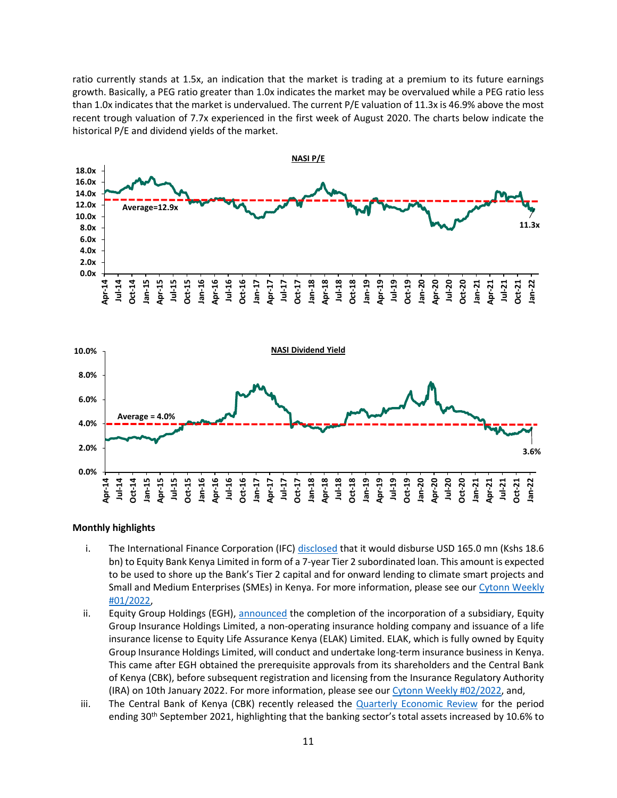ratio currently stands at 1.5x, an indication that the market is trading at a premium to its future earnings growth. Basically, a PEG ratio greater than 1.0x indicates the market may be overvalued while a PEG ratio less than 1.0x indicates that the market is undervalued. The current P/E valuation of 11.3x is 46.9% above the most recent trough valuation of 7.7x experienced in the first week of August 2020. The charts below indicate the historical P/E and dividend yields of the market.





#### **Monthly highlights**

- i. The International Finance Corporation (IFC[\) disclosed](https://disclosures.ifc.org/project-detail/SII/45970/ebk-sub-loan-ii) that it would disburse USD 165.0 mn (Kshs 18.6 bn) to Equity Bank Kenya Limited in form of a 7-year Tier 2 subordinated loan. This amount is expected to be used to shore up the Bank's Tier 2 capital and for onward lending to climate smart projects and Small and Medium Enterprises (SMEs) in Kenya. For more information, please see our Cytonn Weekly [#01/2022,](https://cytonnreport.com/research/affordable-housing-in-the-nairobi-metropolitan-area-nma-cytonn-weekly-01-2022#equities)
- ii. Equity Group Holdings (EGH), [announced](https://equitygroupholdings.com/equity-group-diversifies-to-insurance-business-with-launch-of-equity-life-assurance-kenya-ltd/) the completion of the incorporation of a subsidiary, Equity Group Insurance Holdings Limited, a non-operating insurance holding company and issuance of a life insurance license to Equity Life Assurance Kenya (ELAK) Limited. ELAK, which is fully owned by Equity Group Insurance Holdings Limited, will conduct and undertake long-term insurance business in Kenya. This came after EGH obtained the prerequisite approvals from its shareholders and the Central Bank of Kenya (CBK), before subsequent registration and licensing from the Insurance Regulatory Authority (IRA) on 10th January 2022. For more information, please see ou[r Cytonn Weekly #02/2022,](https://cytonn.com/uploads/downloads/off-plan-real-estate-investing-cytonn-weekly-022022-vf.pdf) and,
- iii. The Central Bank of Kenya (CBK) recently released the [Quarterly Economic Review](https://www.centralbank.go.ke/uploads/quarterly_economic_review/187939112_QER%20Jul-Sept%202021.pdf) for the period ending 30<sup>th</sup> September 2021, highlighting that the banking sector's total assets increased by 10.6% to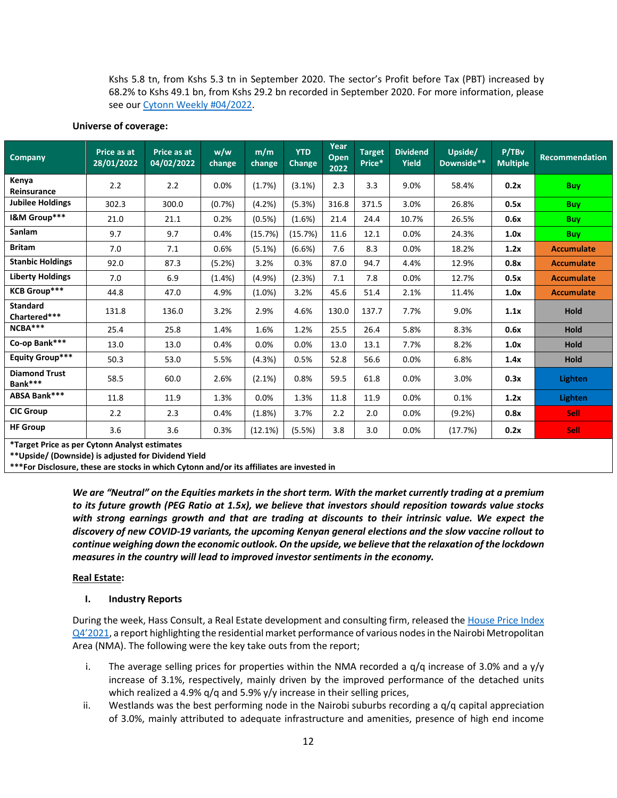Kshs 5.8 tn, from Kshs 5.3 tn in September 2020. The sector's Profit before Tax (PBT) increased by 68.2% to Kshs 49.1 bn, from Kshs 29.2 bn recorded in September 2020. For more information, please see our [Cytonn Weekly #04/2022.](https://cytonnreport.com/research/unit-trust-funds-performance-q32021-cytonn-weekly-04-2022)

### **Universe of coverage:**

| Company                                                                 | 28/01/2022 | Price as at<br>04/02/2022 | w/w<br>change | m/m<br>change | <b>YTD</b><br><b>Change</b> | Year<br><b>Open</b><br>2022 | <b>Target</b><br>Price* | <b>Dividend</b><br><b>Yield</b> | Upside/<br>Downside** | P/TBv<br><b>Multiple</b> | <b>Recommendation</b> |
|-------------------------------------------------------------------------|------------|---------------------------|---------------|---------------|-----------------------------|-----------------------------|-------------------------|---------------------------------|-----------------------|--------------------------|-----------------------|
| Kenya<br>Reinsurance                                                    | 2.2        | 2.2                       | 0.0%          | (1.7%)        | (3.1%)                      | 2.3                         | 3.3                     | 9.0%                            | 58.4%                 | 0.2x                     | <b>Buy</b>            |
| <b>Jubilee Holdings</b>                                                 | 302.3      | 300.0                     | (0.7%)        | (4.2%)        | (5.3%)                      | 316.8                       | 371.5                   | 3.0%                            | 26.8%                 | 0.5x                     | <b>Buy</b>            |
| I&M Group***                                                            | 21.0       | 21.1                      | 0.2%          | (0.5%)        | (1.6%)                      | 21.4                        | 24.4                    | 10.7%                           | 26.5%                 | 0.6x                     | <b>Buy</b>            |
| <b>Sanlam</b>                                                           | 9.7        | 9.7                       | 0.4%          | (15.7%)       | (15.7%)                     | 11.6                        | 12.1                    | 0.0%                            | 24.3%                 | 1.0x                     | <b>Buy</b>            |
| <b>Britam</b>                                                           | 7.0        | 7.1                       | 0.6%          | $(5.1\%)$     | (6.6%)                      | 7.6                         | 8.3                     | 0.0%                            | 18.2%                 | 1.2x                     | <b>Accumulate</b>     |
| <b>Stanbic Holdings</b>                                                 | 92.0       | 87.3                      | (5.2%)        | 3.2%          | 0.3%                        | 87.0                        | 94.7                    | 4.4%                            | 12.9%                 | 0.8x                     | <b>Accumulate</b>     |
| <b>Liberty Holdings</b>                                                 | 7.0        | 6.9                       | (1.4% )       | (4.9%)        | (2.3%)                      | 7.1                         | 7.8                     | 0.0%                            | 12.7%                 | 0.5x                     | <b>Accumulate</b>     |
| <b>KCB Group***</b>                                                     | 44.8       | 47.0                      | 4.9%          | $(1.0\%)$     | 3.2%                        | 45.6                        | 51.4                    | 2.1%                            | 11.4%                 | 1.0x                     | <b>Accumulate</b>     |
| <b>Standard</b><br>Chartered***                                         | 131.8      | 136.0                     | 3.2%          | 2.9%          | 4.6%                        | 130.0                       | 137.7                   | 7.7%                            | 9.0%                  | 1.1x                     | <b>Hold</b>           |
| NCBA***                                                                 | 25.4       | 25.8                      | 1.4%          | 1.6%          | 1.2%                        | 25.5                        | 26.4                    | 5.8%                            | 8.3%                  | 0.6x                     | <b>Hold</b>           |
| Co-op Bank***                                                           | 13.0       | 13.0                      | 0.4%          | 0.0%          | 0.0%                        | 13.0                        | 13.1                    | 7.7%                            | 8.2%                  | 1.0x                     | <b>Hold</b>           |
| <b>Equity Group***</b>                                                  | 50.3       | 53.0                      | 5.5%          | (4.3%)        | 0.5%                        | 52.8                        | 56.6                    | 0.0%                            | 6.8%                  | 1.4x                     | Hold                  |
| <b>Diamond Trust</b><br>Bank***                                         | 58.5       | 60.0                      | 2.6%          | (2.1%)        | 0.8%                        | 59.5                        | 61.8                    | 0.0%                            | 3.0%                  | 0.3x                     | <b>Lighten</b>        |
| ABSA Bank***                                                            | 11.8       | 11.9                      | 1.3%          | 0.0%          | 1.3%                        | 11.8                        | 11.9                    | 0.0%                            | 0.1%                  | 1.2x                     | <b>Lighten</b>        |
| <b>CIC Group</b>                                                        | 2.2        | 2.3                       | 0.4%          | (1.8%)        | 3.7%                        | 2.2                         | 2.0                     | 0.0%                            | (9.2%)                | 0.8x                     | <b>Sell</b>           |
| <b>HF Group</b><br><b>*Target Drice as nor Cutonn Analyst ostimates</b> | 3.6        | 3.6                       | 0.3%          | (12.1%)       | (5.5%)                      | 3.8                         | 3.0                     | 0.0%                            | (17.7%)               | 0.2x                     | <b>Sell</b>           |

**\*Target Price as per Cytonn Analyst estimates**

**\*\*Upside/ (Downside) is adjusted for Dividend Yield**

**\*\*\*For Disclosure, these are stocks in which Cytonn and/or its affiliates are invested in**

*We are "Neutral" on the Equities markets in the short term. With the market currently trading at a premium to its future growth (PEG Ratio at 1.5x), we believe that investors should reposition towards value stocks with strong earnings growth and that are trading at discounts to their intrinsic value. We expect the discovery of new COVID-19 variants, the upcoming Kenyan general elections and the slow vaccine rollout to continue weighing down the economic outlook. On the upside, we believe that the relaxation of the lockdown measures in the country will lead to improved investor sentiments in the economy.*

### **Real Estate:**

### **I. Industry Reports**

During the week, Hass Consult, a Real Estate development and consulting firm, released the House Price Index [Q4'2021](https://www.hassconsult.com/_files/ugd/1bb245_e0927e35bb9f49bb9973f3cb9c03be83.pdf), a report highlighting the residential market performance of various nodes in the Nairobi Metropolitan Area (NMA). The following were the key take outs from the report;

- i. The average selling prices for properties within the NMA recorded a  $q/q$  increase of 3.0% and a  $y/y$ increase of 3.1%, respectively, mainly driven by the improved performance of the detached units which realized a 4.9% q/q and 5.9% y/y increase in their selling prices,
- ii. Westlands was the best performing node in the Nairobi suburbs recording a  $q/q$  capital appreciation of 3.0%, mainly attributed to adequate infrastructure and amenities, presence of high end income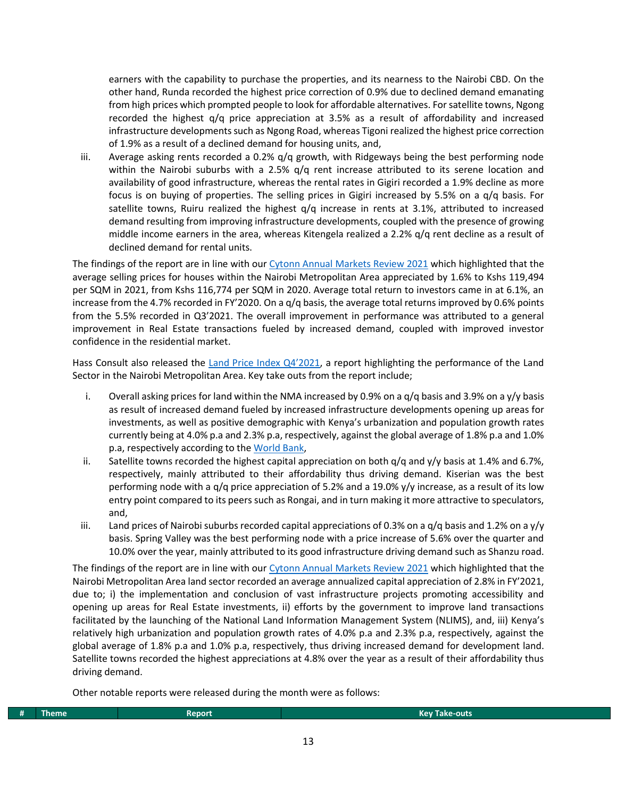earners with the capability to purchase the properties, and its nearness to the Nairobi CBD. On the other hand, Runda recorded the highest price correction of 0.9% due to declined demand emanating from high prices which prompted people to look for affordable alternatives. For satellite towns, Ngong recorded the highest q/q price appreciation at 3.5% as a result of affordability and increased infrastructure developments such as Ngong Road, whereas Tigoni realized the highest price correction of 1.9% as a result of a declined demand for housing units, and,

iii. Average asking rents recorded a 0.2% q/q growth, with Ridgeways being the best performing node within the Nairobi suburbs with a 2.5%  $q/q$  rent increase attributed to its serene location and availability of good infrastructure, whereas the rental rates in Gigiri recorded a 1.9% decline as more focus is on buying of properties. The selling prices in Gigiri increased by 5.5% on a q/q basis. For satellite towns, Ruiru realized the highest  $q/q$  increase in rents at 3.1%, attributed to increased demand resulting from improving infrastructure developments, coupled with the presence of growing middle income earners in the area, whereas Kitengela realized a 2.2% q/q rent decline as a result of declined demand for rental units.

The findings of the report are in line with our [Cytonn Annual Markets Review 2021](https://cytonn.com/downloads/cytonn-annual-markets-review-2021) which highlighted that the average selling prices for houses within the Nairobi Metropolitan Area appreciated by 1.6% to Kshs 119,494 per SQM in 2021, from Kshs 116,774 per SQM in 2020. Average total return to investors came in at 6.1%, an increase from the 4.7% recorded in FY'2020. On a q/q basis, the average total returns improved by 0.6% points from the 5.5% recorded in Q3'2021. The overall improvement in performance was attributed to a general improvement in Real Estate transactions fueled by increased demand, coupled with improved investor confidence in the residential market.

Hass Consult also released the [Land Price Index Q4'2021](https://www.hassconsult.com/_files/ugd/1bb245_36122cea8633408889d69c03d57459e3.pdf), a report highlighting the performance of the Land Sector in the Nairobi Metropolitan Area. Key take outs from the report include;

- i. Overall asking prices for land within the NMA increased by 0.9% on a  $q/q$  basis and 3.9% on a y/y basis as result of increased demand fueled by increased infrastructure developments opening up areas for investments, as well as positive demographic with Kenya's urbanization and population growth rates currently being at 4.0% p.a and 2.3% p.a, respectively, against the global average of 1.8% p.a and 1.0% p.a, respectively according to th[e World Bank,](https://data.worldbank.org/indicator/SP.POP.GROW?locations=KE)
- ii. Satellite towns recorded the highest capital appreciation on both  $q/q$  and  $y/y$  basis at 1.4% and 6.7%, respectively, mainly attributed to their affordability thus driving demand. Kiserian was the best performing node with a q/q price appreciation of 5.2% and a 19.0% y/y increase, as a result of its low entry point compared to its peers such as Rongai, and in turn making it more attractive to speculators, and,
- iii. Land prices of Nairobi suburbs recorded capital appreciations of 0.3% on a q/q basis and 1.2% on a y/y basis. Spring Valley was the best performing node with a price increase of 5.6% over the quarter and 10.0% over the year, mainly attributed to its good infrastructure driving demand such as Shanzu road.

The findings of the report are in line with our [Cytonn Annual Markets Review 2021](https://cytonn.com/downloads/cytonn-annual-markets-review-2021) which highlighted that the Nairobi Metropolitan Area land sector recorded an average annualized capital appreciation of 2.8% in FY'2021, due to; i) the implementation and conclusion of vast infrastructure projects promoting accessibility and opening up areas for Real Estate investments, ii) efforts by the government to improve land transactions facilitated by the launching of the National Land Information Management System (NLIMS), and, iii) Kenya's relatively high urbanization and population growth rates of 4.0% p.a and 2.3% p.a, respectively, against the global average of 1.8% p.a and 1.0% p.a, respectively, thus driving increased demand for development land. Satellite towns recorded the highest appreciations at 4.8% over the year as a result of their affordability thus driving demand.

Other notable reports were released during the month were as follows:

| __<br>Fheme | Renor | and the state of the state of the state of the state of the state of the state of the state of the state of th<br>Kevi<br>-outs<br>аме |
|-------------|-------|----------------------------------------------------------------------------------------------------------------------------------------|
|             |       |                                                                                                                                        |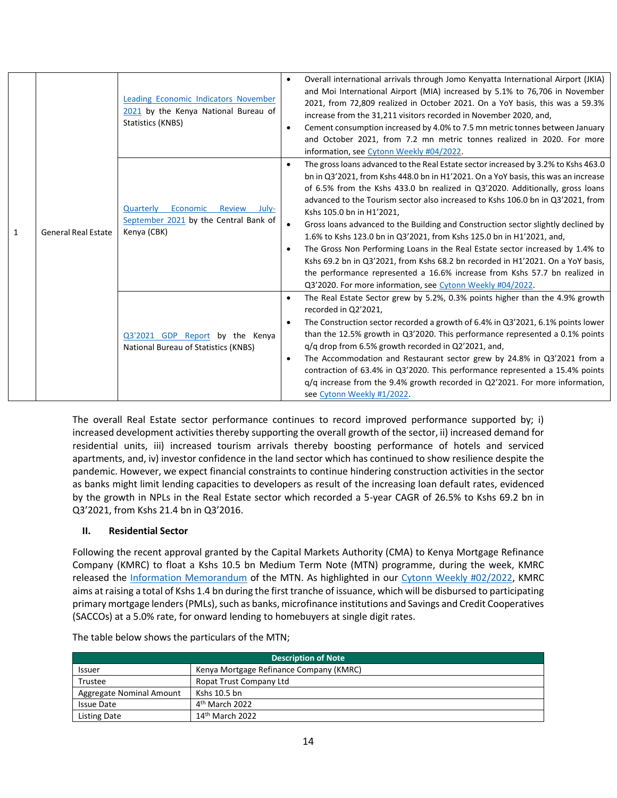|   |                            | Leading Economic Indicators November<br>2021 by the Kenya National Bureau of<br>Statistics (KNBS) | $\bullet$ | Overall international arrivals through Jomo Kenyatta International Airport (JKIA)<br>and Moi International Airport (MIA) increased by 5.1% to 76,706 in November<br>2021, from 72,809 realized in October 2021. On a YoY basis, this was a 59.3%<br>increase from the 31,211 visitors recorded in November 2020, and,<br>Cement consumption increased by 4.0% to 7.5 mn metric tonnes between January<br>and October 2021, from 7.2 mn metric tonnes realized in 2020. For more<br>information, see Cytonn Weekly #04/2022.                                                                                                                                                                                                                                                                                                                             |
|---|----------------------------|---------------------------------------------------------------------------------------------------|-----------|---------------------------------------------------------------------------------------------------------------------------------------------------------------------------------------------------------------------------------------------------------------------------------------------------------------------------------------------------------------------------------------------------------------------------------------------------------------------------------------------------------------------------------------------------------------------------------------------------------------------------------------------------------------------------------------------------------------------------------------------------------------------------------------------------------------------------------------------------------|
| 1 | <b>General Real Estate</b> | Economic<br>Quarterly<br>Review<br>July-<br>September 2021 by the Central Bank of<br>Kenya (CBK)  |           | The gross loans advanced to the Real Estate sector increased by 3.2% to Kshs 463.0<br>bn in Q3'2021, from Kshs 448.0 bn in H1'2021. On a YoY basis, this was an increase<br>of 6.5% from the Kshs 433.0 bn realized in Q3'2020. Additionally, gross loans<br>advanced to the Tourism sector also increased to Kshs 106.0 bn in Q3'2021, from<br>Kshs 105.0 bn in H1'2021,<br>Gross loans advanced to the Building and Construction sector slightly declined by<br>1.6% to Kshs 123.0 bn in Q3'2021, from Kshs 125.0 bn in H1'2021, and,<br>The Gross Non Performing Loans in the Real Estate sector increased by 1.4% to<br>Kshs 69.2 bn in Q3'2021, from Kshs 68.2 bn recorded in H1'2021. On a YoY basis,<br>the performance represented a 16.6% increase from Kshs 57.7 bn realized in<br>Q3'2020. For more information, see Cytonn Weekly #04/2022. |
|   |                            | Q3'2021 GDP Report by the Kenya<br>National Bureau of Statistics (KNBS)                           | $\bullet$ | The Real Estate Sector grew by 5.2%, 0.3% points higher than the 4.9% growth<br>recorded in Q2'2021,<br>The Construction sector recorded a growth of 6.4% in Q3'2021, 6.1% points lower<br>than the 12.5% growth in Q3'2020. This performance represented a 0.1% points<br>$q/q$ drop from 6.5% growth recorded in Q2'2021, and,<br>The Accommodation and Restaurant sector grew by 24.8% in Q3'2021 from a<br>contraction of 63.4% in Q3'2020. This performance represented a 15.4% points<br>q/q increase from the 9.4% growth recorded in Q2'2021. For more information,<br>see Cytonn Weekly #1/2022.                                                                                                                                                                                                                                               |

The overall Real Estate sector performance continues to record improved performance supported by; i) increased development activities thereby supporting the overall growth of the sector, ii) increased demand for residential units, iii) increased tourism arrivals thereby boosting performance of hotels and serviced apartments, and, iv) investor confidence in the land sector which has continued to show resilience despite the pandemic. However, we expect financial constraints to continue hindering construction activities in the sector as banks might limit lending capacities to developers as result of the increasing loan default rates, evidenced by the growth in NPLs in the Real Estate sector which recorded a 5-year CAGR of 26.5% to Kshs 69.2 bn in Q3'2021, from Kshs 21.4 bn in Q3'2016.

# **II. Residential Sector**

Following the recent approval granted by the Capital Markets Authority (CMA) to Kenya Mortgage Refinance Company (KMRC) to float a Kshs 10.5 bn Medium Term Note (MTN) programme, during the week, KMRC released the [Information Memorandum](https://kmrc.co.ke/wp-content/uploads/2022/02/KMRC-MTN-2021-Information-Memorandum-January-2022.pdf) of the MTN. As highlighted in our [Cytonn Weekly #02/2022,](https://cytonnreport.com/research/off-plan-real-estate-investing-cytonn-weekly-02-2022#real-estate) KMRC aims at raising a total of Kshs 1.4 bn during the first tranche of issuance, which will be disbursed to participating primary mortgage lenders (PMLs), such as banks, microfinance institutions and Savings and Credit Cooperatives (SACCOs) at a 5.0% rate, for onward lending to homebuyers at single digit rates.

| <b>Description of Note</b> |                                         |  |  |
|----------------------------|-----------------------------------------|--|--|
| Issuer                     | Kenya Mortgage Refinance Company (KMRC) |  |  |
| Trustee                    | Ropat Trust Company Ltd                 |  |  |
| Aggregate Nominal Amount   | Kshs 10.5 bn                            |  |  |
| <b>Issue Date</b>          | 4 <sup>th</sup> March 2022              |  |  |
| <b>Listing Date</b>        | $14th$ March 2022                       |  |  |

The table below shows the particulars of the MTN;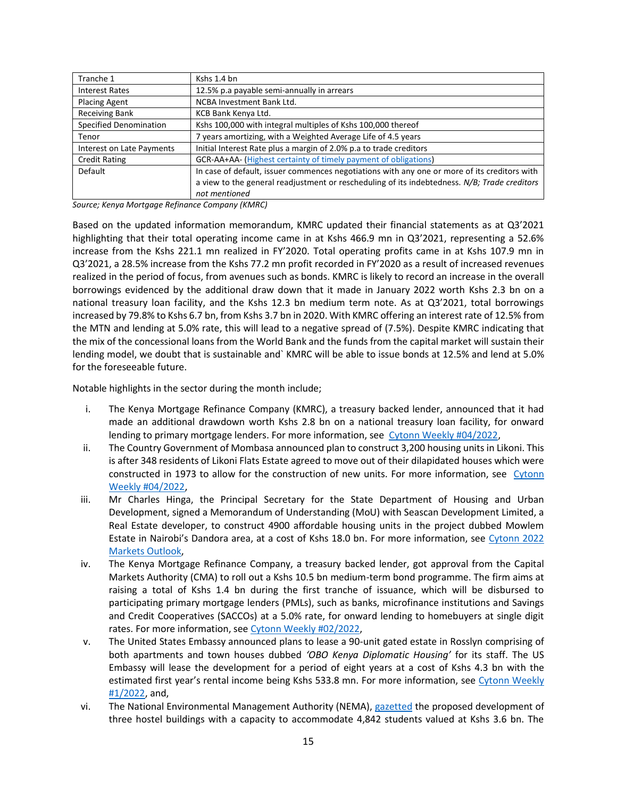| Tranche 1                 | Kshs 1.4 bn                                                                                  |
|---------------------------|----------------------------------------------------------------------------------------------|
| <b>Interest Rates</b>     | 12.5% p.a payable semi-annually in arrears                                                   |
| <b>Placing Agent</b>      | NCBA Investment Bank Ltd.                                                                    |
| <b>Receiving Bank</b>     | KCB Bank Kenya Ltd.                                                                          |
| Specified Denomination    | Kshs 100,000 with integral multiples of Kshs 100,000 thereof                                 |
| Tenor                     | 7 years amortizing, with a Weighted Average Life of 4.5 years                                |
| Interest on Late Payments | Initial Interest Rate plus a margin of 2.0% p.a to trade creditors                           |
| <b>Credit Rating</b>      | GCR-AA+AA- (Highest certainty of timely payment of obligations)                              |
| Default                   | In case of default, issuer commences negotiations with any one or more of its creditors with |
|                           | a view to the general readjustment or rescheduling of its indebtedness. N/B; Trade creditors |
|                           | not mentioned                                                                                |

*Source; Kenya Mortgage Refinance Company (KMRC)*

Based on the updated information memorandum, KMRC updated their financial statements as at Q3'2021 highlighting that their total operating income came in at Kshs 466.9 mn in Q3'2021, representing a 52.6% increase from the Kshs 221.1 mn realized in FY'2020. Total operating profits came in at Kshs 107.9 mn in Q3'2021, a 28.5% increase from the Kshs 77.2 mn profit recorded in FY'2020 as a result of increased revenues realized in the period of focus, from avenues such as bonds. KMRC is likely to record an increase in the overall borrowings evidenced by the additional draw down that it made in January 2022 worth Kshs 2.3 bn on a national treasury loan facility, and the Kshs 12.3 bn medium term note. As at Q3'2021, total borrowings increased by 79.8% to Kshs 6.7 bn, from Kshs 3.7 bn in 2020. With KMRC offering an interest rate of 12.5% from the MTN and lending at 5.0% rate, this will lead to a negative spread of (7.5%). Despite KMRC indicating that the mix of the concessional loans from the World Bank and the funds from the capital market will sustain their lending model, we doubt that is sustainable and` KMRC will be able to issue bonds at 12.5% and lend at 5.0% for the foreseeable future.

Notable highlights in the sector during the month include;

- i. The Kenya Mortgage Refinance Company (KMRC), a treasury backed lender, announced that it had made an additional drawdown worth Kshs 2.8 bn on a national treasury loan facility, for onward lending to primary mortgage lenders. For more information, see [Cytonn Weekly #04/2022,](https://cytonnreport.com/research/unit-trust-funds-performance-q32021-cytonn-weekly-04-2022)
- ii. The Country Government of Mombasa announced plan to construct 3,200 housing units in Likoni. This is after 348 residents of Likoni Flats Estate agreed to move out of their dilapidated houses which were constructed in 1973 to allow for the construction of new units. For more information, see [Cytonn](https://cytonnreport.com/research/unit-trust-funds-performance-q32021-cytonn-weekly-04-2022)  [Weekly #04/2022,](https://cytonnreport.com/research/unit-trust-funds-performance-q32021-cytonn-weekly-04-2022)
- iii. Mr Charles Hinga, the Principal Secretary for the State Department of Housing and Urban Development, signed a Memorandum of Understanding (MoU) with Seascan Development Limited, a Real Estate developer, to construct 4900 affordable housing units in the project dubbed Mowlem Estate in Nairobi's Dandora area, at a cost of Kshs 18.0 bn. For more information, see [Cytonn 2022](https://cytonnreport.com/research/cytonn-2022-markets-outlook#real-estate-outlook)  Markets [Outlook,](https://cytonnreport.com/research/cytonn-2022-markets-outlook#real-estate-outlook)
- iv. The Kenya Mortgage Refinance Company, a treasury backed lender, got approval from the Capital Markets Authority (CMA) to roll out a Kshs 10.5 bn medium-term bond programme. The firm aims at raising a total of Kshs 1.4 bn during the first tranche of issuance, which will be disbursed to participating primary mortgage lenders (PMLs), such as banks, microfinance institutions and Savings and Credit Cooperatives (SACCOs) at a 5.0% rate, for onward lending to homebuyers at single digit rates. For more information, see [Cytonn Weekly #02/2022,](https://cytonnreport.com/research/off-plan-real-estate-investing-cytonn-weekly-02-2022#real-estate)
- v. The United States Embassy announced plans to lease a 90-unit gated estate in Rosslyn comprising of both apartments and town houses dubbed *'OBO Kenya Diplomatic Housing'* for its staff. The US Embassy will lease the development for a period of eight years at a cost of Kshs 4.3 bn with the estimated first year's rental income being Kshs 533.8 mn. For more information, see Cytonn Weekly [#1/2022,](https://cytonnreport.com/research/affordable-housing-in-the-nairobi-metropolitan-area-nma-cytonn-weekly-01-2022) and,
- vi. The National Environmental Management Authority (NEMA), [gazetted](http://kenyalaw.org/kenya_gazette/gazette/volume/MjQ4OQ--/Vol.CXXIII-No.264/) the proposed development of three hostel buildings with a capacity to accommodate 4,842 students valued at Kshs 3.6 bn. The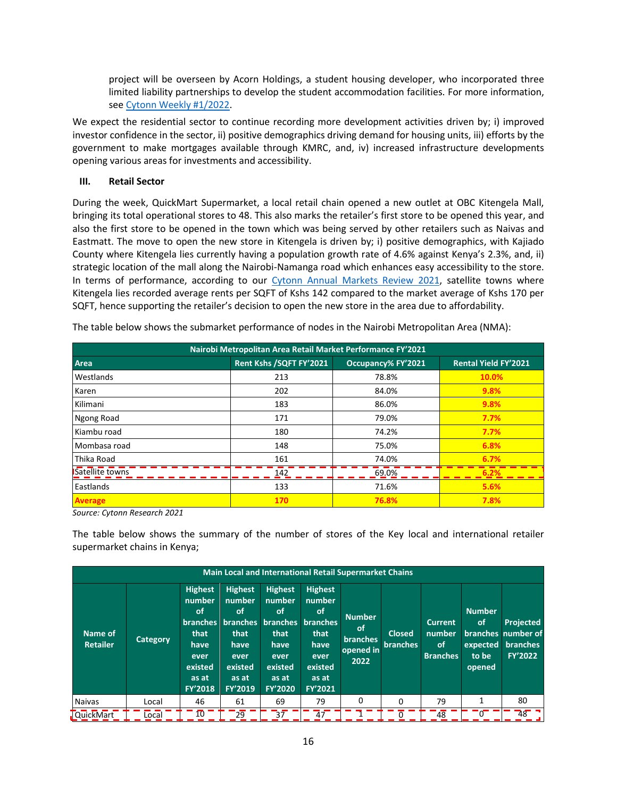project will be overseen by Acorn Holdings, a student housing developer, who incorporated three limited liability partnerships to develop the student accommodation facilities. For more information, see [Cytonn Weekly #1/2022.](https://cytonnreport.com/research/affordable-housing-in-the-nairobi-metropolitan-area-nma-cytonn-weekly-01-2022)

We expect the residential sector to continue recording more development activities driven by; i) improved investor confidence in the sector, ii) positive demographics driving demand for housing units, iii) efforts by the government to make mortgages available through KMRC, and, iv) increased infrastructure developments opening various areas for investments and accessibility.

# **III. Retail Sector**

During the week, QuickMart Supermarket, a local retail chain opened a new outlet at OBC Kitengela Mall, bringing its total operational stores to 48. This also marks the retailer's first store to be opened this year, and also the first store to be opened in the town which was being served by other retailers such as Naivas and Eastmatt. The move to open the new store in Kitengela is driven by; i) positive demographics, with Kajiado County where Kitengela lies currently having a population growth rate of 4.6% against Kenya's 2.3%, and, ii) strategic location of the mall along the Nairobi-Namanga road which enhances easy accessibility to the store. In terms of performance, according to our Cytonn Annual Markets [Review 2021,](https://cytonn.com/downloads/cytonn-annual-markets-review-2021) satellite towns where Kitengela lies recorded average rents per SQFT of Kshs 142 compared to the market average of Kshs 170 per SQFT, hence supporting the retailer's decision to open the new store in the area due to affordability.

| Nairobi Metropolitan Area Retail Market Performance FY'2021 |                         |                    |                             |  |  |  |
|-------------------------------------------------------------|-------------------------|--------------------|-----------------------------|--|--|--|
| Area                                                        | Rent Kshs /SQFT FY'2021 | Occupancy% FY'2021 | <b>Rental Yield FY'2021</b> |  |  |  |
| Westlands                                                   | 213                     | 78.8%              | 10.0%                       |  |  |  |
| Karen                                                       | 202                     | 84.0%              | 9.8%                        |  |  |  |
| Kilimani                                                    | 183                     | 86.0%              | 9.8%                        |  |  |  |
| Ngong Road                                                  | 171                     | 79.0%              | 7.7%                        |  |  |  |
| Kiambu road                                                 | 180                     | 74.2%              | 7.7%                        |  |  |  |
| Mombasa road                                                | 148                     | 75.0%              | 6.8%                        |  |  |  |
| Thika Road                                                  | 161                     | 74.0%              | 6.7%                        |  |  |  |
| Satellite towns                                             | 142                     | 69.0%              | 6.2%                        |  |  |  |
| Eastlands                                                   | 133                     | 71.6%              | 5.6%                        |  |  |  |
| <b>Average</b>                                              | 170                     | 76.8%              | 7.8%                        |  |  |  |

The table below shows the submarket performance of nodes in the Nairobi Metropolitan Area (NMA):

*Source: Cytonn Research 2021*

The table below shows the summary of the number of stores of the Key local and international retailer supermarket chains in Kenya;

|                            | <b>Main Local and International Retail Supermarket Chains</b> |                                                                                                                        |                                                                                                                 |                                                                                                                 |                                                                                                                  |                                                             |                                  |                                                    |                                                    |                                                                      |
|----------------------------|---------------------------------------------------------------|------------------------------------------------------------------------------------------------------------------------|-----------------------------------------------------------------------------------------------------------------|-----------------------------------------------------------------------------------------------------------------|------------------------------------------------------------------------------------------------------------------|-------------------------------------------------------------|----------------------------------|----------------------------------------------------|----------------------------------------------------|----------------------------------------------------------------------|
| Name of<br><b>Retailer</b> | <b>Category</b>                                               | <b>Highest</b><br>number<br><b>of</b><br><b>branches</b><br>that<br>have<br>ever<br>existed<br>as at<br><b>FY'2018</b> | <b>Highest</b><br>number<br><b>of</b><br><b>branches</b><br>that<br>have<br>ever<br>existed<br>as at<br>FY'2019 | <b>Highest</b><br>number<br>οf<br><b>branches</b><br>that<br>have<br>ever<br>existed<br>as at<br><b>FY'2020</b> | <b>Highest</b><br>number<br>of.<br><b>branches</b><br>that<br>have<br>ever<br>existed<br>as at<br><b>FY'2021</b> | <b>Number</b><br><b>of</b><br>branches<br>opened in<br>2022 | <b>Closed</b><br><b>branches</b> | <b>Current</b><br>number.<br>of<br><b>Branches</b> | <b>Number</b><br>of<br>expected<br>to be<br>opened | <b>Projected</b><br>branches number of<br>branches<br><b>FY'2022</b> |
| <b>Naivas</b>              | Local                                                         | 46                                                                                                                     | 61                                                                                                              | 69                                                                                                              | 79                                                                                                               | 0                                                           | $\Omega$                         | 79                                                 |                                                    | 80                                                                   |
| QuickMart                  | Local                                                         | 10 <sup>°</sup>                                                                                                        | 29                                                                                                              | 37                                                                                                              | 47                                                                                                               |                                                             | 0                                | 48                                                 | $\sigma$                                           | $48$ .                                                               |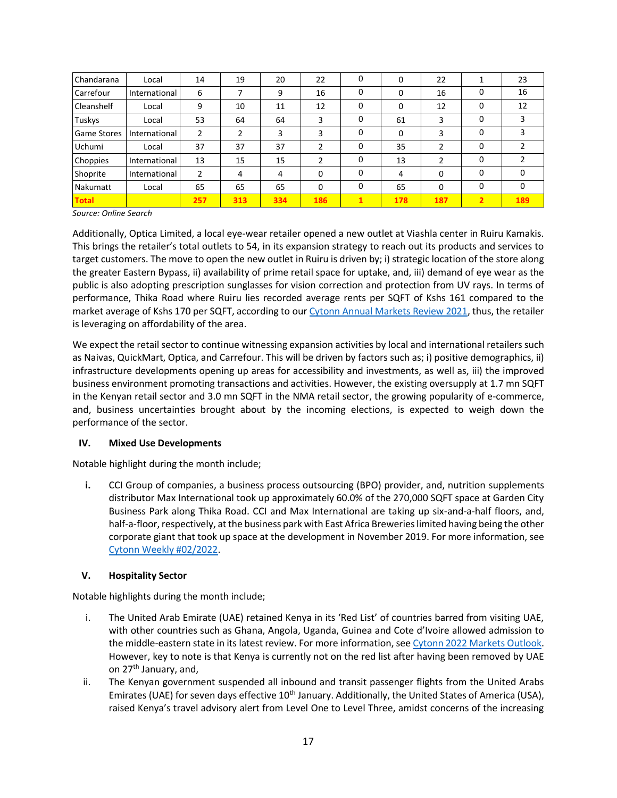| Chandarana         | Local         | 14  | 19  | 20  | 22  | 0            | 0   | 22             |                | 23           |
|--------------------|---------------|-----|-----|-----|-----|--------------|-----|----------------|----------------|--------------|
| Carrefour          | International | 6   |     | 9   | 16  | 0            | 0   | 16             |                | 16           |
| Cleanshelf         | Local         | 9   | 10  | 11  | 12  | 0            | 0   | 12             | O              | 12           |
| Tuskys             | Local         | 53  | 64  | 64  | 3   | 0            | 61  | 3              | $\Omega$       |              |
| <b>Game Stores</b> | International | 2   | 2   | 3   | 3   | 0            | 0   | 3              | O              | 3            |
| <b>Uchumi</b>      | Local         | 37  | 37  | 37  | 2   | 0            | 35  | $\overline{2}$ | 0              |              |
| Choppies           | International | 13  | 15  | 15  | 2   | 0            | 13  | $\overline{2}$ | O              |              |
| Shoprite           | International | 2   | 4   | 4   | 0   | $\mathbf{0}$ | 4   | 0              | O              | <sup>0</sup> |
| <b>Nakumatt</b>    | Local         | 65  | 65  | 65  | 0   | 0            | 65  | 0              | 0              | 0            |
| <b>Total</b>       |               | 257 | 313 | 334 | 186 | 1            | 178 | 187            | $\overline{2}$ | 189          |

*Source: Online Search*

Additionally, Optica Limited, a local eye-wear retailer opened a new outlet at Viashla center in Ruiru Kamakis. This brings the retailer's total outlets to 54, in its expansion strategy to reach out its products and services to target customers. The move to open the new outlet in Ruiru is driven by; i) strategic location of the store along the greater Eastern Bypass, ii) availability of prime retail space for uptake, and, iii) demand of eye wear as the public is also adopting prescription sunglasses for vision correction and protection from UV rays. In terms of performance, Thika Road where Ruiru lies recorded average rents per SQFT of Kshs 161 compared to the market average of Kshs 170 per SQFT, according to our Cytonn Annual Markets [Review 2021,](https://cytonn.com/downloads/cytonn-annual-markets-review-2021) thus, the retailer is leveraging on affordability of the area.

We expect the retail sector to continue witnessing expansion activities by local and international retailers such as Naivas, QuickMart, Optica, and Carrefour. This will be driven by factors such as; i) positive demographics, ii) infrastructure developments opening up areas for accessibility and investments, as well as, iii) the improved business environment promoting transactions and activities. However, the existing oversupply at 1.7 mn SQFT in the Kenyan retail sector and 3.0 mn SQFT in the NMA retail sector, the growing popularity of e-commerce, and, business uncertainties brought about by the incoming elections, is expected to weigh down the performance of the sector.

# **IV. Mixed Use Developments**

Notable highlight during the month include;

**i.** CCI Group of companies, a business process outsourcing (BPO) provider, and, nutrition supplements distributor Max International took up approximately 60.0% of the 270,000 SQFT space at Garden City Business Park along Thika Road. CCI and Max International are taking up six-and-a-half floors, and, half-a-floor, respectively, at the business park with East Africa Breweries limited having being the other corporate giant that took up space at the development in November 2019. For more information, see [Cytonn Weekly #02/2022.](https://cytonnreport.com/research/off-plan-real-estate-investing-cytonn-weekly-02-2022#real-estate)

# **V. Hospitality Sector**

Notable highlights during the month include;

- i. The United Arab Emirate (UAE) retained Kenya in its 'Red List' of countries barred from visiting UAE, with other countries such as Ghana, Angola, Uganda, Guinea and Cote d'Ivoire allowed admission to the middle-eastern state in its latest review. For more information, see [Cytonn 2022 Markets](https://cytonnreport.com/research/cytonn-2022-markets-outlook#real-estate-outlook) Outlook. However, key to note is that Kenya is currently not on the red list after having been removed by UAE on 27th January, and,
- ii. The Kenyan government suspended all inbound and transit passenger flights from the United Arabs Emirates (UAE) for seven days effective 10<sup>th</sup> January. Additionally, the United States of America (USA), raised Kenya's travel advisory alert from Level One to Level Three, amidst concerns of the increasing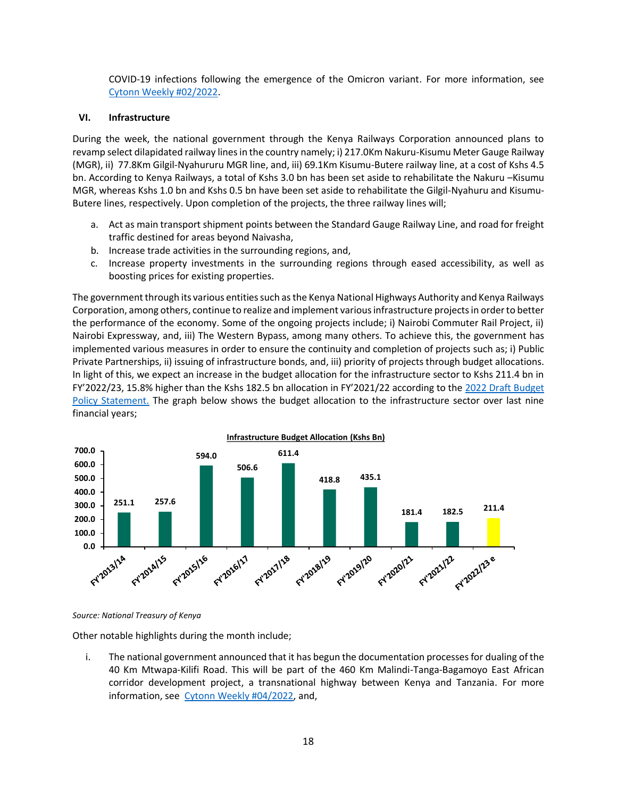COVID-19 infections following the emergence of the Omicron variant. For more information, see [Cytonn Weekly #02/2022.](https://cytonnreport.com/research/off-plan-real-estate-investing-cytonn-weekly-02-2022#real-estate)

### **VI. Infrastructure**

During the week, the national government through the Kenya Railways Corporation announced plans to revamp select dilapidated railway lines in the country namely; i) 217.0Km Nakuru-Kisumu Meter Gauge Railway (MGR), ii) 77.8Km Gilgil-Nyahururu MGR line, and, iii) 69.1Km Kisumu-Butere railway line, at a cost of Kshs 4.5 bn. According to Kenya Railways, a total of Kshs 3.0 bn has been set aside to rehabilitate the Nakuru –Kisumu MGR, whereas Kshs 1.0 bn and Kshs 0.5 bn have been set aside to rehabilitate the Gilgil-Nyahuru and Kisumu-Butere lines, respectively. Upon completion of the projects, the three railway lines will;

- a. Act as main transport shipment points between the Standard Gauge Railway Line, and road for freight traffic destined for areas beyond Naivasha,
- b. Increase trade activities in the surrounding regions, and,
- c. Increase property investments in the surrounding regions through eased accessibility, as well as boosting prices for existing properties.

The government through its various entities such as the Kenya National Highways Authority and Kenya Railways Corporation, among others, continue to realize and implement various infrastructure projects in order to better the performance of the economy. Some of the ongoing projects include; i) Nairobi Commuter Rail Project, ii) Nairobi Expressway, and, iii) The Western Bypass, among many others. To achieve this, the government has implemented various measures in order to ensure the continuity and completion of projects such as; i) Public Private Partnerships, ii) issuing of infrastructure bonds, and, iii) priority of projects through budget allocations. In light of this, we expect an increase in the budget allocation for the infrastructure sector to Kshs 211.4 bn in FY'2022/23, 15.8% higher than the Kshs 182.5 bn allocation in FY'2021/22 according to the [2022 Draft Budget](https://www.treasury.go.ke/wp-content/uploads/2021/11/Draft-2022-Budget-Policy-Statement_F.pdf)  [Policy Statement.](https://www.treasury.go.ke/wp-content/uploads/2021/11/Draft-2022-Budget-Policy-Statement_F.pdf) The graph below shows the budget allocation to the infrastructure sector over last nine financial years;



### *Source: National Treasury of Kenya*

Other notable highlights during the month include;

i. The national government announced that it has begun the documentation processes for dualing of the 40 Km Mtwapa-Kilifi Road. This will be part of the 460 Km Malindi-Tanga-Bagamoyo East African corridor development project, a transnational highway between Kenya and Tanzania. For more information, see [Cytonn Weekly #04/2022,](https://cytonnreport.com/research/unit-trust-funds-performance-q32021-cytonn-weekly-04-2022) and,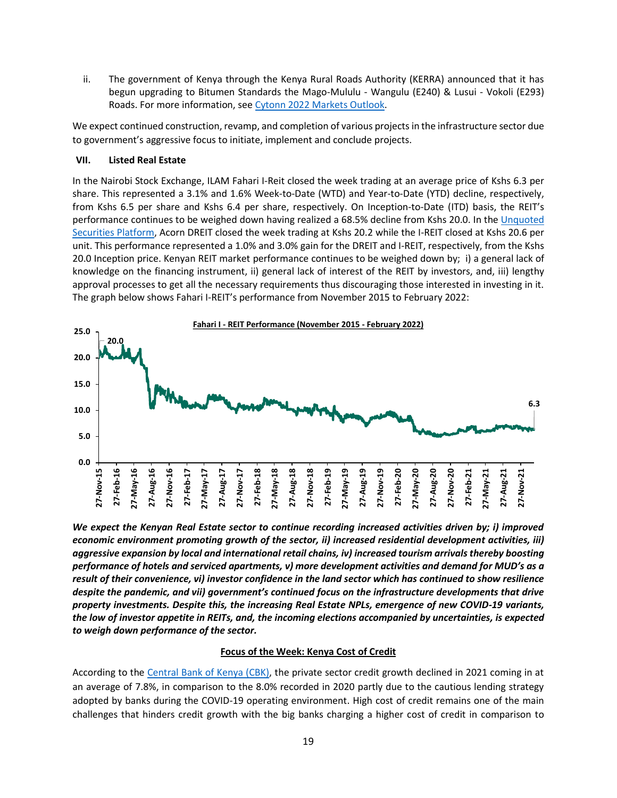ii. The government of Kenya through the Kenya Rural Roads Authority (KERRA) announced that it has begun upgrading to Bitumen Standards the Mago-Mululu - Wangulu (E240) & Lusui - Vokoli (E293) Roads. For more information, see [Cytonn 2022 Markets](https://cytonnreport.com/research/cytonn-2022-markets-outlook#real-estate-outlook) Outlook.

We expect continued construction, revamp, and completion of various projects in the infrastructure sector due to government's aggressive focus to initiate, implement and conclude projects.

### **VII. Listed Real Estate**

In the Nairobi Stock Exchange, ILAM Fahari I-Reit closed the week trading at an average price of Kshs 6.3 per share. This represented a 3.1% and 1.6% Week-to-Date (WTD) and Year-to-Date (YTD) decline, respectively, from Kshs 6.5 per share and Kshs 6.4 per share, respectively. On Inception-to-Date (ITD) basis, the REIT's performance continues to be weighed down having realized a 68.5% decline from Kshs 20.0. In the [Unquoted](https://www.nse.co.ke/wp-content/uploads/Unquoted-Securities-Platform-Ibuka-Weekly-Summary_04-02-2022.pdf)  [Securities Platform,](https://www.nse.co.ke/wp-content/uploads/Unquoted-Securities-Platform-Ibuka-Weekly-Summary_04-02-2022.pdf) Acorn DREIT closed the week trading at Kshs 20.2 while the I-REIT closed at Kshs 20.6 per unit. This performance represented a 1.0% and 3.0% gain for the DREIT and I-REIT, respectively, from the Kshs 20.0 Inception price. Kenyan REIT market performance continues to be weighed down by; i) a general lack of knowledge on the financing instrument, ii) general lack of interest of the REIT by investors, and, iii) lengthy approval processes to get all the necessary requirements thus discouraging those interested in investing in it. The graph below shows Fahari I-REIT's performance from November 2015 to February 2022:



*We expect the Kenyan Real Estate sector to continue recording increased activities driven by; i) improved economic environment promoting growth of the sector, ii) increased residential development activities, iii) aggressive expansion by local and international retail chains, iv) increased tourism arrivals thereby boosting performance of hotels and serviced apartments, v) more development activities and demand for MUD's as a result of their convenience, vi) investor confidence in the land sector which has continued to show resilience despite the pandemic, and vii) government's continued focus on the infrastructure developments that drive property investments. Despite this, the increasing Real Estate NPLs, emergence of new COVID-19 variants, the low of investor appetite in REITs, and, the incoming elections accompanied by uncertainties, is expected to weigh down performance of the sector.*

### **Focus of the Week: Kenya Cost of Credit**

According to the [Central Bank of Kenya \(CBK\),](https://www.centralbank.go.ke/uploads/quarterly_economic_review/187939112_QER%20Jul-Sept%202021.pdf) the private sector credit growth declined in 2021 coming in at an average of 7.8%, in comparison to the 8.0% recorded in 2020 partly due to the cautious lending strategy adopted by banks during the COVID-19 operating environment. High cost of credit remains one of the main challenges that hinders credit growth with the big banks charging a higher cost of credit in comparison to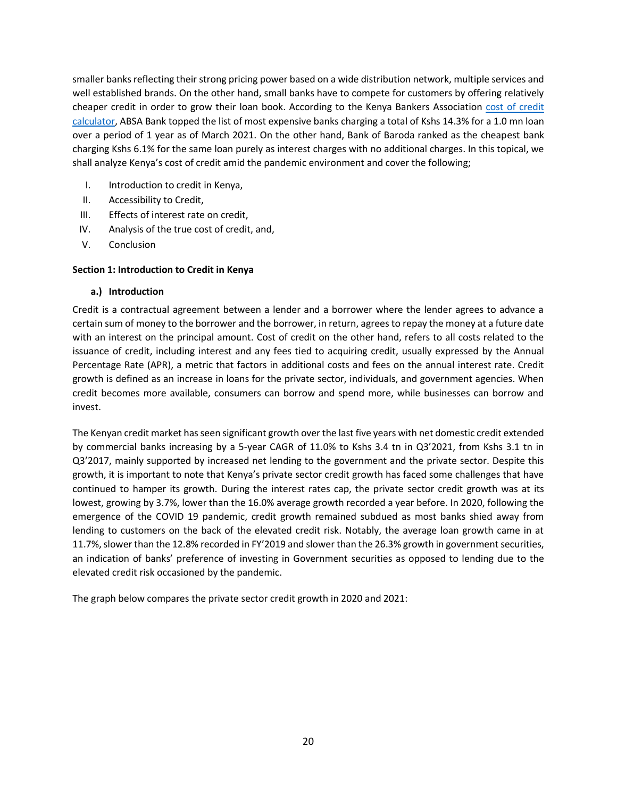smaller banks reflecting their strong pricing power based on a wide distribution network, multiple services and well established brands. On the other hand, small banks have to compete for customers by offering relatively cheaper credit in order to grow their loan book. According to the Kenya Bankers Association [cost of credit](https://cost-of-credit.com/)  [calculator,](https://cost-of-credit.com/) ABSA Bank topped the list of most expensive banks charging a total of Kshs 14.3% for a 1.0 mn loan over a period of 1 year as of March 2021. On the other hand, Bank of Baroda ranked as the cheapest bank charging Kshs 6.1% for the same loan purely as interest charges with no additional charges. In this topical, we shall analyze Kenya's cost of credit amid the pandemic environment and cover the following;

- I. Introduction to credit in Kenya,
- II. Accessibility to Credit,
- III. Effects of interest rate on credit,
- IV. Analysis of the true cost of credit, and,
- V. Conclusion

# **Section 1: Introduction to Credit in Kenya**

### **a.) Introduction**

Credit is a contractual agreement between a lender and a borrower where the lender agrees to advance a certain sum of money to the borrower and the borrower, in return, agrees to repay the money at a future date with an interest on the principal amount. Cost of credit on the other hand, refers to all costs related to the issuance of credit, including interest and any fees tied to acquiring credit, usually expressed by the Annual Percentage Rate (APR), a metric that factors in additional costs and fees on the annual interest rate. Credit growth is defined as an increase in loans for the private sector, individuals, and government agencies. When credit becomes more available, consumers can borrow and spend more, while businesses can borrow and invest.

The Kenyan credit market has seen significant growth over the last five years with net domestic credit extended by commercial banks increasing by a 5-year CAGR of 11.0% to Kshs 3.4 tn in Q3'2021, from Kshs 3.1 tn in Q3'2017, mainly supported by increased net lending to the government and the private sector. Despite this growth, it is important to note that Kenya's private sector credit growth has faced some challenges that have continued to hamper its growth. During the interest rates cap, the private sector credit growth was at its lowest, growing by 3.7%, lower than the 16.0% average growth recorded a year before. In 2020, following the emergence of the COVID 19 pandemic, credit growth remained subdued as most banks shied away from lending to customers on the back of the elevated credit risk. Notably, the average loan growth came in at 11.7%, slower than the 12.8% recorded in FY'2019 and slower than the 26.3% growth in government securities, an indication of banks' preference of investing in Government securities as opposed to lending due to the elevated credit risk occasioned by the pandemic.

The graph below compares the private sector credit growth in 2020 and 2021: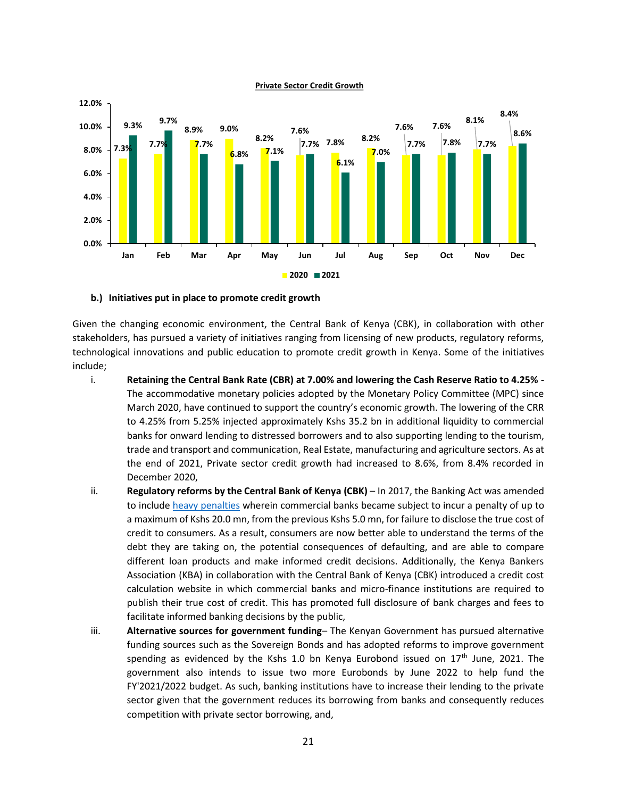

**Private Sector Credit Growth**

#### **b.) Initiatives put in place to promote credit growth**

Given the changing economic environment, the Central Bank of Kenya (CBK), in collaboration with other stakeholders, has pursued a variety of initiatives ranging from licensing of new products, regulatory reforms, technological innovations and public education to promote credit growth in Kenya. Some of the initiatives include;

- i. **Retaining the Central Bank Rate (CBR) at 7.00% and lowering the Cash Reserve Ratio to 4.25% -** The accommodative monetary policies adopted by the Monetary Policy Committee (MPC) since March 2020, have continued to support the country's economic growth. The lowering of the CRR to 4.25% from 5.25% injected approximately Kshs 35.2 bn in additional liquidity to commercial banks for onward lending to distressed borrowers and to also supporting lending to the tourism, trade and transport and communication, Real Estate, manufacturing and agriculture sectors. As at the end of 2021, Private sector credit growth had increased to 8.6%, from 8.4% recorded in December 2020,
- ii. **Regulatory reforms by the Central Bank of Kenya (CBK)** In 2017, the Banking Act was amended to include [heavy penalties](https://www.centralbank.go.ke/wp-content/uploads/2017/07/DRAFT-BANKING-PENALTIES-REGULATIONS-2017.pdf) wherein commercial banks became subject to incur a penalty of up to a maximum of Kshs 20.0 mn, from the previous Kshs 5.0 mn, for failure to disclose the true cost of credit to consumers. As a result, consumers are now better able to understand the terms of the debt they are taking on, the potential consequences of defaulting, and are able to compare different loan products and make informed credit decisions. Additionally, the Kenya Bankers Association (KBA) in collaboration with the Central Bank of Kenya (CBK) introduced a credit cost calculation website in which commercial banks and micro-finance institutions are required to publish their true cost of credit. This has promoted full disclosure of bank charges and fees to facilitate informed banking decisions by the public,
- iii. **Alternative sources for government funding** The Kenyan Government has pursued alternative funding sources such as the Sovereign Bonds and has adopted reforms to improve government spending as evidenced by the Kshs 1.0 bn Kenya Eurobond issued on  $17<sup>th</sup>$  June, 2021. The government also intends to issue two more Eurobonds by June 2022 to help fund the FY'2021/2022 budget. As such, banking institutions have to increase their lending to the private sector given that the government reduces its borrowing from banks and consequently reduces competition with private sector borrowing, and,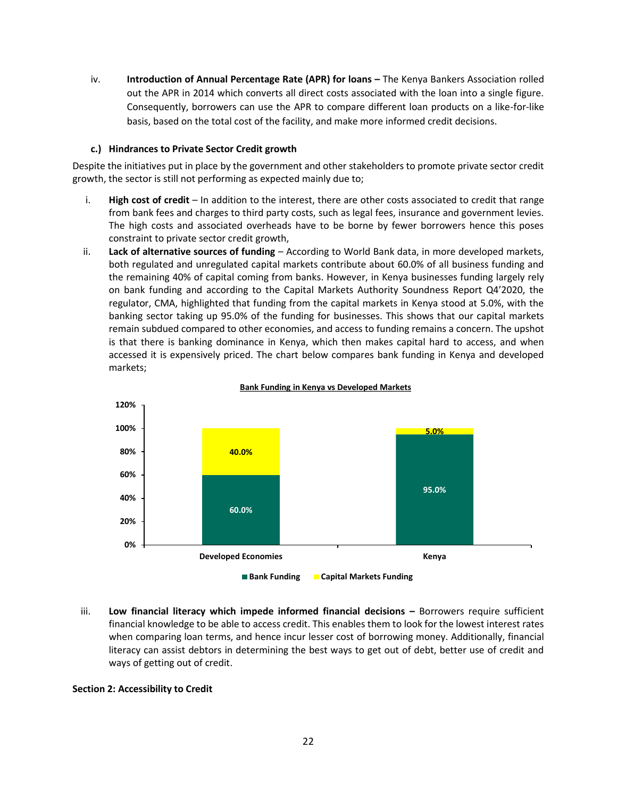iv. **Introduction of Annual Percentage Rate (APR) for loans –** The Kenya Bankers Association rolled out the APR in 2014 which converts all direct costs associated with the loan into a single figure. Consequently, borrowers can use the APR to compare different loan products on a like-for-like basis, based on the total cost of the facility, and make more informed credit decisions.

### **c.) Hindrances to Private Sector Credit growth**

Despite the initiatives put in place by the government and other stakeholders to promote private sector credit growth, the sector is still not performing as expected mainly due to;

- i. **High cost of credit** In addition to the interest, there are other costs associated to credit that range from bank fees and charges to third party costs, such as legal fees, insurance and government levies. The high costs and associated overheads have to be borne by fewer borrowers hence this poses constraint to private sector credit growth,
- ii. **Lack of alternative sources of funding** According to World Bank data, in more developed markets, both regulated and unregulated capital markets contribute about 60.0% of all business funding and the remaining 40% of capital coming from banks. However, in Kenya businesses funding largely rely on bank funding and according to the Capital Markets Authority Soundness Report Q4'2020, the regulator, CMA, highlighted that funding from the capital markets in Kenya stood at 5.0%, with the banking sector taking up 95.0% of the funding for businesses. This shows that our capital markets remain subdued compared to other economies, and access to funding remains a concern. The upshot is that there is banking dominance in Kenya, which then makes capital hard to access, and when accessed it is expensively priced. The chart below compares bank funding in Kenya and developed markets;



#### **Bank Funding in Kenya vs Developed Markets**

iii. **Low financial literacy which impede informed financial decisions – Borrowers require sufficient** financial knowledge to be able to access credit. This enables them to look for the lowest interest rates when comparing loan terms, and hence incur lesser cost of borrowing money. Additionally, financial literacy can assist debtors in determining the best ways to get out of debt, better use of credit and ways of getting out of credit.

### **Section 2: Accessibility to Credit**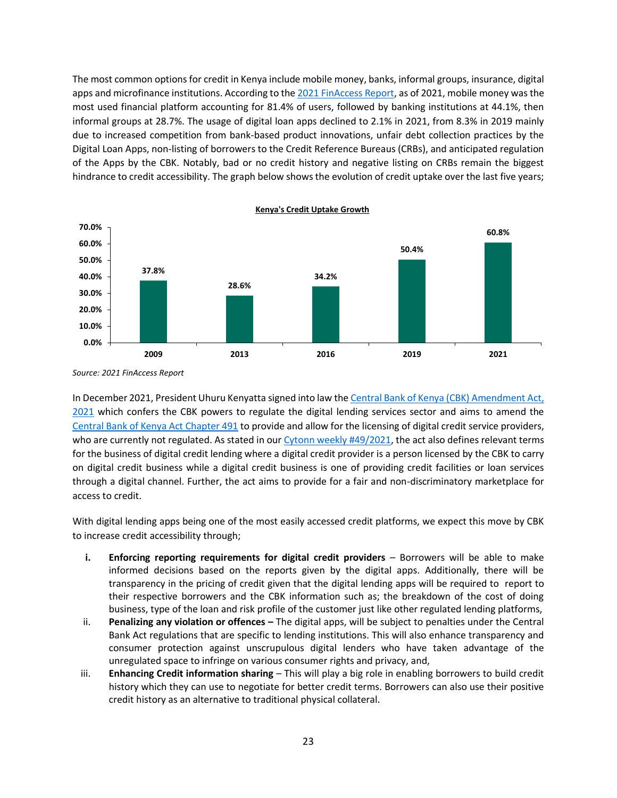The most common options for credit in Kenya include mobile money, banks, informal groups, insurance, digital apps and microfinance institutions. According to th[e 2021 FinAccess Report,](https://www.knbs.or.ke/wp-content/uploads/2021/12/2021-Finaccess-Household-Survey-Report.pdf) as of 2021, mobile money was the most used financial platform accounting for 81.4% of users, followed by banking institutions at 44.1%, then informal groups at 28.7%. The usage of digital loan apps declined to 2.1% in 2021, from 8.3% in 2019 mainly due to increased competition from bank-based product innovations, unfair debt collection practices by the Digital Loan Apps, non-listing of borrowers to the Credit Reference Bureaus (CRBs), and anticipated regulation of the Apps by the CBK. Notably, bad or no credit history and negative listing on CRBs remain the biggest hindrance to credit accessibility. The graph below shows the evolution of credit uptake over the last five years;



*Source: 2021 FinAccess Report*

In December 2021, President Uhuru Kenyatta signed into law the [Central Bank of Kenya \(CBK\) Amendment Act,](http://www.parliament.go.ke/sites/default/files/2021-05/Central%20Bank%20of%20Kenya%20%28Amendment%29%20Bill%2C%202021.pdf)  [2021](http://www.parliament.go.ke/sites/default/files/2021-05/Central%20Bank%20of%20Kenya%20%28Amendment%29%20Bill%2C%202021.pdf) which confers the CBK powers to regulate the digital lending services sector and aims to amend the [Central Bank of Kenya Act Chapter 491](https://centralbank.go.ke/images/docs/The_Central_Bank_of_Kenya_Act_1st_January_2014.pdf) to provide and allow for the licensing of digital credit service providers, who are currently not regulated. As stated in our [Cytonn weekly #49/2021,](https://cytonnreport.com/research/kenya-listed-banks-q3-2021-report-cytonn-weekly-49#equities) the act also defines relevant terms for the business of digital credit lending where a digital credit provider is a person licensed by the CBK to carry on digital credit business while a digital credit business is one of providing credit facilities or loan services through a digital channel. Further, the act aims to provide for a fair and non-discriminatory marketplace for access to credit.

With digital lending apps being one of the most easily accessed credit platforms, we expect this move by CBK to increase credit accessibility through;

- **i. Enforcing reporting requirements for digital credit providers** Borrowers will be able to make informed decisions based on the reports given by the digital apps. Additionally, there will be transparency in the pricing of credit given that the digital lending apps will be required toreport to their respective borrowers and the CBK information such as; the breakdown of the cost of doing business, type of the loan and risk profile of the customer just like other regulated lending platforms,
- ii. **Penalizing any violation or offences –** The digital apps, will be subject to penalties under the Central Bank Act regulations that are specific to lending institutions. This will also enhance transparency and consumer protection against unscrupulous digital lenders who have taken advantage of the unregulated space to infringe on various consumer rights and privacy, and,
- iii. **Enhancing Credit information sharing** This will play a big role in enabling borrowers to build credit history which they can use to negotiate for better credit terms. Borrowers can also use their positive credit history as an alternative to traditional physical collateral.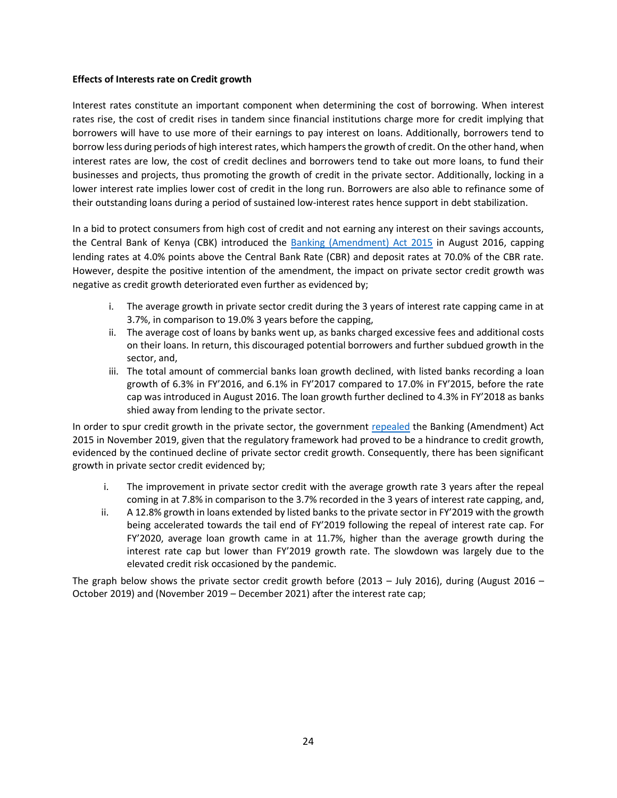### **Effects of Interests rate on Credit growth**

Interest rates constitute an important component when determining the cost of borrowing. When interest rates rise, the cost of credit rises in tandem since financial institutions charge more for credit implying that borrowers will have to use more of their earnings to pay interest on loans. Additionally, borrowers tend to borrow less during periods of high interest rates, which hampers the growth of credit. On the other hand, when interest rates are low, the cost of credit declines and borrowers tend to take out more loans, to fund their businesses and projects, thus promoting the growth of credit in the private sector. Additionally, locking in a lower interest rate implies lower cost of credit in the long run. Borrowers are also able to refinance some of their outstanding loans during a period of sustained low-interest rates hence support in debt stabilization.

In a bid to protect consumers from high cost of credit and not earning any interest on their savings accounts, the Central Bank of Kenya (CBK) introduced the [Banking \(Amendment\) Act 2015](http://kenyalaw.org/kl/fileadmin/pdfdownloads/Acts/2016/No._25_of_2016.pdf) in August 2016, capping lending rates at 4.0% points above the Central Bank Rate (CBR) and deposit rates at 70.0% of the CBR rate. However, despite the positive intention of the amendment, the impact on private sector credit growth was negative as credit growth deteriorated even further as evidenced by;

- i. The average growth in private sector credit during the 3 years of interest rate capping came in at 3.7%, in comparison to 19.0% 3 years before the capping,
- ii. The average cost of loans by banks went up, as banks charged excessive fees and additional costs on their loans. In return, this discouraged potential borrowers and further subdued growth in the sector, and,
- iii. The total amount of commercial banks loan growth declined, with listed banks recording a loan growth of 6.3% in FY'2016, and 6.1% in FY'2017 compared to 17.0% in FY'2015, before the rate cap was introduced in August 2016. The loan growth further declined to 4.3% in FY'2018 as banks shied away from lending to the private sector.

In order to spur credit growth in the private sector, the government [repealed](http://kenyalaw.org/kl/fileadmin/pdfdownloads/AmendmentActs/2019/FinanceAct_No23of2019.PDF) the Banking (Amendment) Act 2015 in November 2019, given that the regulatory framework had proved to be a hindrance to credit growth, evidenced by the continued decline of private sector credit growth. Consequently, there has been significant growth in private sector credit evidenced by;

- i. The improvement in private sector credit with the average growth rate 3 years after the repeal coming in at 7.8% in comparison to the 3.7% recorded in the 3 years of interest rate capping, and,
- ii. A 12.8% growth in loans extended by listed banks to the private sector in FY'2019 with the growth being accelerated towards the tail end of FY'2019 following the repeal of interest rate cap. For FY'2020, average loan growth came in at 11.7%, higher than the average growth during the interest rate cap but lower than FY'2019 growth rate. The slowdown was largely due to the elevated credit risk occasioned by the pandemic.

The graph below shows the private sector credit growth before (2013 – July 2016), during (August 2016 – October 2019) and (November 2019 – December 2021) after the interest rate cap;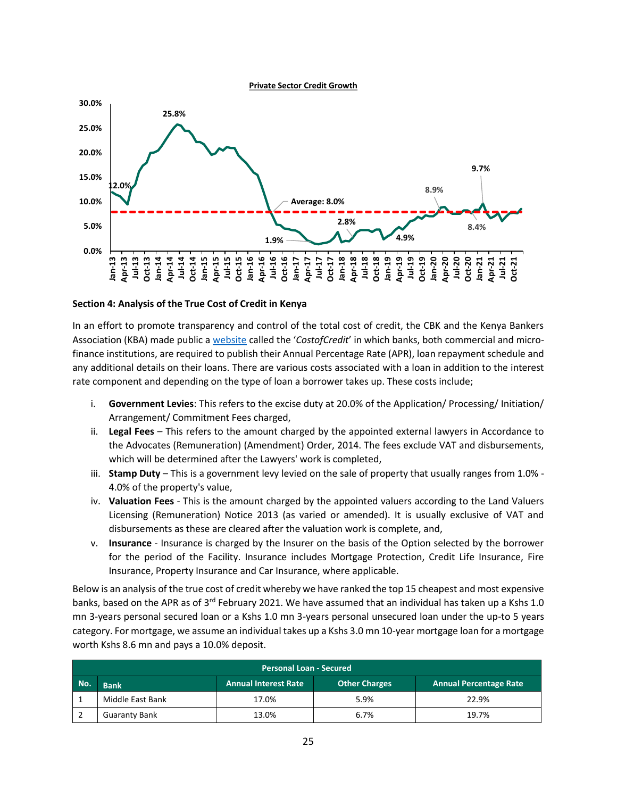**Private Sector Credit Growth**



#### **Section 4: Analysis of the True Cost of Credit in Kenya**

In an effort to promote transparency and control of the total cost of credit, the CBK and the Kenya Bankers Association (KBA) made public a [website](https://costofcredit.co.ke/) called the '*CostofCredit*' in which banks, both commercial and microfinance institutions, are required to publish their Annual Percentage Rate (APR), loan repayment schedule and any additional details on their loans. There are various costs associated with a loan in addition to the interest rate component and depending on the type of loan a borrower takes up. These costs include;

- i. **Government Levies**: This refers to the excise duty at 20.0% of the Application/ Processing/ Initiation/ Arrangement/ Commitment Fees charged,
- ii. **Legal Fees** This refers to the amount charged by the appointed external lawyers in Accordance to the Advocates (Remuneration) (Amendment) Order, 2014. The fees exclude VAT and disbursements, which will be determined after the Lawyers' work is completed,
- iii. **Stamp Duty** This is a government levy levied on the sale of property that usually ranges from 1.0% 4.0% of the property's value,
- iv. **Valuation Fees** This is the amount charged by the appointed valuers according to the Land Valuers Licensing (Remuneration) Notice 2013 (as varied or amended). It is usually exclusive of VAT and disbursements as these are cleared after the valuation work is complete, and,
- v. **Insurance**  Insurance is charged by the Insurer on the basis of the Option selected by the borrower for the period of the Facility. Insurance includes Mortgage Protection, Credit Life Insurance, Fire Insurance, Property Insurance and Car Insurance, where applicable.

Below is an analysis of the true cost of credit whereby we have ranked the top 15 cheapest and most expensive banks, based on the APR as of 3<sup>rd</sup> February 2021. We have assumed that an individual has taken up a Kshs 1.0 mn 3-years personal secured loan or a Kshs 1.0 mn 3-years personal unsecured loan under the up-to 5 years category. For mortgage, we assume an individual takes up a Kshs 3.0 mn 10-year mortgage loan for a mortgage worth Kshs 8.6 mn and pays a 10.0% deposit.

| <b>Personal Loan - Secured</b>                                                                      |                  |       |      |       |  |  |  |
|-----------------------------------------------------------------------------------------------------|------------------|-------|------|-------|--|--|--|
| No.<br><b>Annual Interest Rate</b><br><b>Other Charges</b><br>Annual Percentage Rate<br><b>Bank</b> |                  |       |      |       |  |  |  |
|                                                                                                     | Middle East Bank | 17.0% | 5.9% | 22.9% |  |  |  |
|                                                                                                     | Guaranty Bank    | 13.0% | 6.7% | 19.7% |  |  |  |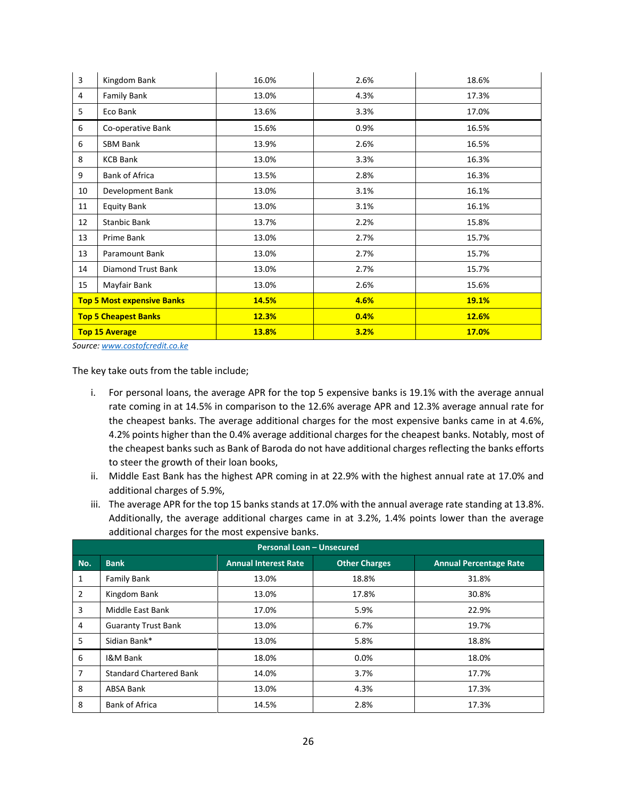| 3  | Kingdom Bank                      | 16.0% | 2.6% | 18.6% |
|----|-----------------------------------|-------|------|-------|
| 4  | <b>Family Bank</b>                | 13.0% | 4.3% | 17.3% |
| 5  | Eco Bank                          | 13.6% | 3.3% | 17.0% |
| 6  | Co-operative Bank                 | 15.6% | 0.9% | 16.5% |
| 6  | SBM Bank                          | 13.9% | 2.6% | 16.5% |
| 8  | <b>KCB Bank</b>                   | 13.0% | 3.3% | 16.3% |
| 9  | <b>Bank of Africa</b>             | 13.5% | 2.8% | 16.3% |
| 10 | Development Bank                  | 13.0% | 3.1% | 16.1% |
| 11 | <b>Equity Bank</b>                | 13.0% | 3.1% | 16.1% |
| 12 | Stanbic Bank                      | 13.7% | 2.2% | 15.8% |
| 13 | Prime Bank                        | 13.0% | 2.7% | 15.7% |
| 13 | Paramount Bank                    | 13.0% | 2.7% | 15.7% |
| 14 | Diamond Trust Bank                | 13.0% | 2.7% | 15.7% |
| 15 | Mayfair Bank                      | 13.0% | 2.6% | 15.6% |
|    | <b>Top 5 Most expensive Banks</b> | 14.5% | 4.6% | 19.1% |
|    | <b>Top 5 Cheapest Banks</b>       | 12.3% | 0.4% | 12.6% |
|    | <b>Top 15 Average</b>             | 13.8% | 3.2% | 17.0% |

*Source[: www.costofcredit.co.ke](http://www.costofcredit.co.ke/)*

The key take outs from the table include;

- i. For personal loans, the average APR for the top 5 expensive banks is 19.1% with the average annual rate coming in at 14.5% in comparison to the 12.6% average APR and 12.3% average annual rate for the cheapest banks. The average additional charges for the most expensive banks came in at 4.6%, 4.2% points higher than the 0.4% average additional charges for the cheapest banks. Notably, most of the cheapest banks such as Bank of Baroda do not have additional charges reflecting the banks efforts to steer the growth of their loan books,
- ii. Middle East Bank has the highest APR coming in at 22.9% with the highest annual rate at 17.0% and additional charges of 5.9%,
- iii. The average APR for the top 15 banks stands at 17.0% with the annual average rate standing at 13.8%. Additionally, the average additional charges came in at 3.2%, 1.4% points lower than the average additional charges for the most expensive banks.

| <b>Personal Loan - Unsecured</b> |                                |                             |                      |                               |  |  |  |
|----------------------------------|--------------------------------|-----------------------------|----------------------|-------------------------------|--|--|--|
| No.                              | <b>Bank</b>                    | <b>Annual Interest Rate</b> | <b>Other Charges</b> | <b>Annual Percentage Rate</b> |  |  |  |
| 1                                | <b>Family Bank</b>             | 13.0%                       | 18.8%                | 31.8%                         |  |  |  |
| $\overline{2}$                   | Kingdom Bank                   | 13.0%                       | 17.8%                | 30.8%                         |  |  |  |
| 3                                | Middle East Bank               | 17.0%                       | 5.9%                 | 22.9%                         |  |  |  |
| 4                                | <b>Guaranty Trust Bank</b>     | 13.0%                       | 6.7%                 | 19.7%                         |  |  |  |
| 5                                | Sidian Bank*                   | 13.0%                       | 5.8%                 | 18.8%                         |  |  |  |
| 6                                | I&M Bank                       | 18.0%                       | 0.0%                 | 18.0%                         |  |  |  |
| 7                                | <b>Standard Chartered Bank</b> | 14.0%                       | 3.7%                 | 17.7%                         |  |  |  |
| 8                                | ABSA Bank                      | 13.0%                       | 4.3%                 | 17.3%                         |  |  |  |
| 8                                | <b>Bank of Africa</b>          | 14.5%                       | 2.8%                 | 17.3%                         |  |  |  |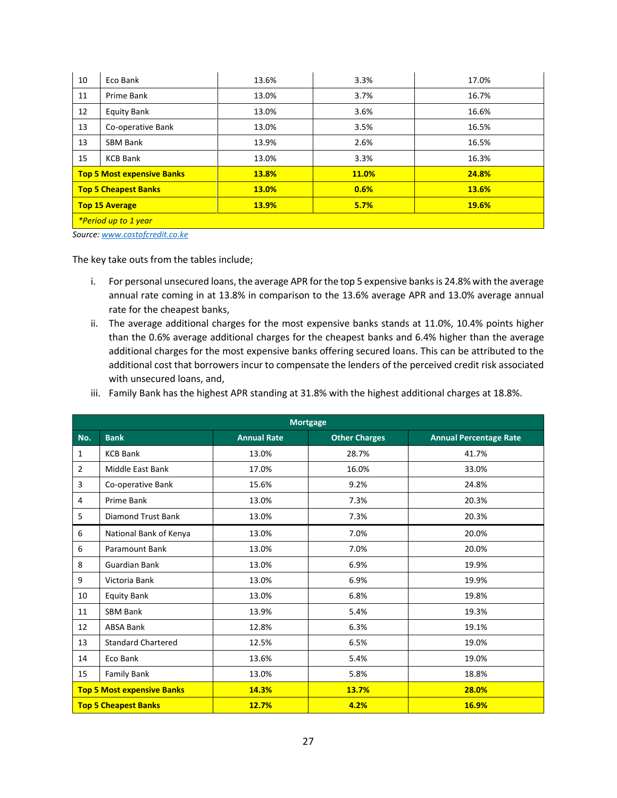| Eco Bank                          | 13.6% | 3.3%  | 17.0% |  |  |
|-----------------------------------|-------|-------|-------|--|--|
| Prime Bank                        | 13.0% | 3.7%  | 16.7% |  |  |
| <b>Equity Bank</b>                | 13.0% | 3.6%  | 16.6% |  |  |
| Co-operative Bank                 | 13.0% | 3.5%  | 16.5% |  |  |
| <b>SBM Bank</b>                   | 13.9% | 2.6%  | 16.5% |  |  |
| <b>KCB Bank</b>                   | 13.0% | 3.3%  | 16.3% |  |  |
| <b>Top 5 Most expensive Banks</b> | 13.8% | 11.0% | 24.8% |  |  |
| <b>Top 5 Cheapest Banks</b>       | 13.0% | 0.6%  | 13.6% |  |  |
| <b>Top 15 Average</b>             | 13.9% | 5.7%  | 19.6% |  |  |
| *Period up to 1 year              |       |       |       |  |  |
|                                   |       |       |       |  |  |

*Source[: www.costofcredit.co.ke](http://www.costofcredit.co.ke/)*

The key take outs from the tables include;

- i. For personal unsecured loans, the average APR for the top 5 expensive banks is 24.8% with the average annual rate coming in at 13.8% in comparison to the 13.6% average APR and 13.0% average annual rate for the cheapest banks,
- ii. The average additional charges for the most expensive banks stands at 11.0%, 10.4% points higher than the 0.6% average additional charges for the cheapest banks and 6.4% higher than the average additional charges for the most expensive banks offering secured loans. This can be attributed to the additional cost that borrowers incur to compensate the lenders of the perceived credit risk associated with unsecured loans, and,
- iii. Family Bank has the highest APR standing at 31.8% with the highest additional charges at 18.8%.

| <b>Mortgage</b>             |                                   |                    |                      |                               |  |  |  |
|-----------------------------|-----------------------------------|--------------------|----------------------|-------------------------------|--|--|--|
| No.                         | <b>Bank</b>                       | <b>Annual Rate</b> | <b>Other Charges</b> | <b>Annual Percentage Rate</b> |  |  |  |
| 1                           | <b>KCB Bank</b>                   | 13.0%              | 28.7%                | 41.7%                         |  |  |  |
| 2                           | Middle East Bank                  | 17.0%              | 16.0%                | 33.0%                         |  |  |  |
| 3                           | Co-operative Bank                 | 15.6%              | 9.2%                 | 24.8%                         |  |  |  |
| 4                           | Prime Bank                        | 13.0%              | 7.3%                 | 20.3%                         |  |  |  |
| 5                           | <b>Diamond Trust Bank</b>         | 13.0%              | 7.3%                 | 20.3%                         |  |  |  |
| 6                           | National Bank of Kenya            | 13.0%              | 7.0%                 | 20.0%                         |  |  |  |
| 6                           | <b>Paramount Bank</b>             | 13.0%              | 7.0%                 | 20.0%                         |  |  |  |
| 8                           | <b>Guardian Bank</b>              | 13.0%              | 6.9%                 | 19.9%                         |  |  |  |
| 9                           | Victoria Bank                     | 13.0%              | 6.9%                 | 19.9%                         |  |  |  |
| 10                          | <b>Equity Bank</b>                | 13.0%              | 6.8%                 | 19.8%                         |  |  |  |
| 11                          | <b>SBM Bank</b>                   | 13.9%              | 5.4%                 | 19.3%                         |  |  |  |
| 12                          | <b>ABSA Bank</b>                  | 12.8%              | 6.3%                 | 19.1%                         |  |  |  |
| 13                          | <b>Standard Chartered</b>         | 12.5%              | 6.5%                 | 19.0%                         |  |  |  |
| 14                          | Eco Bank                          | 13.6%              | 5.4%                 | 19.0%                         |  |  |  |
| 15                          | <b>Family Bank</b>                | 13.0%              | 5.8%                 | 18.8%                         |  |  |  |
|                             | <b>Top 5 Most expensive Banks</b> | 14.3%              | 13.7%                | 28.0%                         |  |  |  |
| <b>Top 5 Cheapest Banks</b> |                                   | 12.7%              | 4.2%                 | 16.9%                         |  |  |  |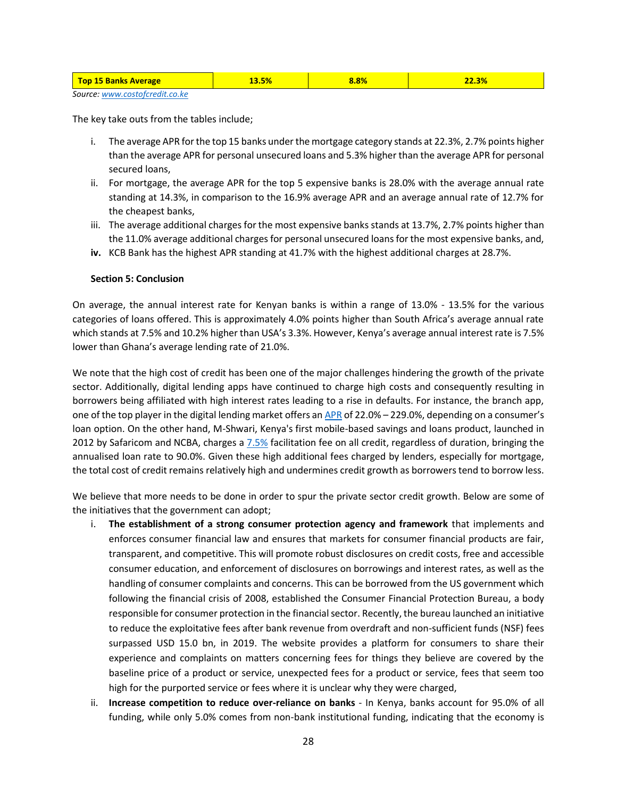| <b>Top 15 Banks Average</b> | 13.5% | 8.8% | $22.3\%$ |  |  |
|-----------------------------|-------|------|----------|--|--|
|                             |       |      |          |  |  |

```
Source: www.costofcredit.co.ke
```
The key take outs from the tables include;

- i. The average APR for the top 15 banks under the mortgage category stands at 22.3%, 2.7% points higher than the average APR for personal unsecured loans and 5.3% higher than the average APR for personal secured loans,
- ii. For mortgage, the average APR for the top 5 expensive banks is 28.0% with the average annual rate standing at 14.3%, in comparison to the 16.9% average APR and an average annual rate of 12.7% for the cheapest banks,
- iii. The average additional charges for the most expensive banks stands at 13.7%, 2.7% points higher than the 11.0% average additional charges for personal unsecured loans for the most expensive banks, and,
- **iv.** KCB Bank has the highest APR standing at 41.7% with the highest additional charges at 28.7%.

# **Section 5: Conclusion**

On average, the annual interest rate for Kenyan banks is within a range of 13.0% - 13.5% for the various categories of loans offered. This is approximately 4.0% points higher than South Africa's average annual rate which stands at 7.5% and 10.2% higher than USA's 3.3%. However, Kenya's average annual interest rate is 7.5% lower than Ghana's average lending rate of 21.0%.

We note that the high cost of credit has been one of the major challenges hindering the growth of the private sector. Additionally, digital lending apps have continued to charge high costs and consequently resulting in borrowers being affiliated with high interest rates leading to a rise in defaults. For instance, the branch app, one of the top player in the digital lending market offers a[n APR](https://branch.co.ke/) of 22.0% – 229.0%, depending on a consumer's loan option. On the other hand, M-Shwari, Kenya's first mobile-based savings and loans product, launched in 2012 by Safaricom and NCBA, charges a [7.5%](https://ke.ncbagroup.com/m-shwari/) facilitation fee on all credit, regardless of duration, bringing the annualised loan rate to 90.0%. Given these high additional fees charged by lenders, especially for mortgage, the total cost of credit remains relatively high and undermines credit growth as borrowers tend to borrow less.

We believe that more needs to be done in order to spur the private sector credit growth. Below are some of the initiatives that the government can adopt;

- i. **The establishment of a strong consumer protection agency and framework** that implements and enforces consumer financial law and ensures that markets for consumer financial products are fair, transparent, and competitive. This will promote robust disclosures on credit costs, free and accessible consumer education, and enforcement of disclosures on borrowings and interest rates, as well as the handling of consumer complaints and concerns. This can be borrowed from the US government which following the financial crisis of 2008, established the Consumer Financial Protection Bureau, a body responsible for consumer protection in the financial sector. Recently, the bureau launched an initiative to reduce the exploitative fees after bank revenue from overdraft and non-sufficient funds (NSF) fees surpassed USD 15.0 bn, in 2019. The website provides a platform for consumers to share their experience and complaints on matters concerning fees for things they believe are covered by the baseline price of a product or service, unexpected fees for a product or service, fees that seem too high for the purported service or fees where it is unclear why they were charged,
- ii. **Increase competition to reduce over-reliance on banks** In Kenya, banks account for 95.0% of all funding, while only 5.0% comes from non-bank institutional funding, indicating that the economy is